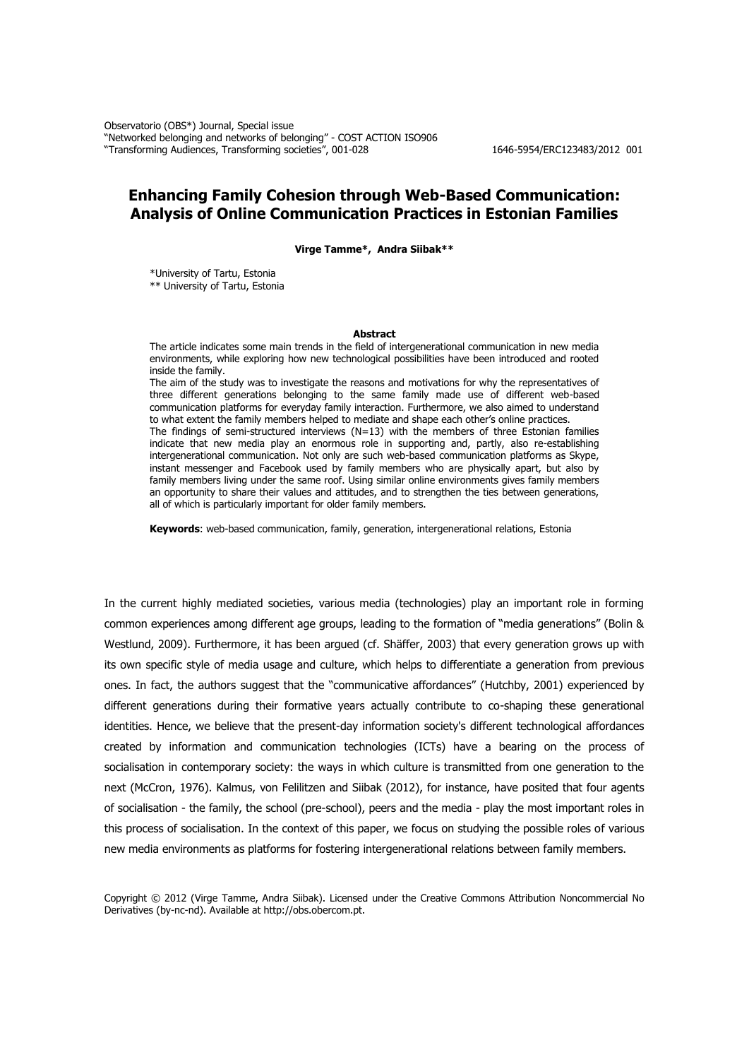Observatorio (OBS\*) Journal, Special issue "Networked belonging and networks of belonging" - COST ACTION ISO906 "Transforming Audiences, Transforming societies", 001-028 1646-5954/ERC123483/2012 001

# **Enhancing Family Cohesion through Web-Based Communication: Analysis of Online Communication Practices in Estonian Families**

**Virge Tamme\*, Andra Siibak\*\***

\*University of Tartu, Estonia \*\* University of Tartu, Estonia

#### **Abstract**

The article indicates some main trends in the field of intergenerational communication in new media environments, while exploring how new technological possibilities have been introduced and rooted inside the family.

The aim of the study was to investigate the reasons and motivations for why the representatives of three different generations belonging to the same family made use of different web-based communication platforms for everyday family interaction. Furthermore, we also aimed to understand to what extent the family members helped to mediate and shape each other's online practices. The findings of semi-structured interviews (N=13) with the members of three Estonian families indicate that new media play an enormous role in supporting and, partly, also re-establishing intergenerational communication. Not only are such web-based communication platforms as Skype, instant messenger and Facebook used by family members who are physically apart, but also by family members living under the same roof. Using similar online environments gives family members an opportunity to share their values and attitudes, and to strengthen the ties between generations, all of which is particularly important for older family members.

**Keywords**: web-based communication, family, generation, intergenerational relations, Estonia

In the current highly mediated societies, various media (technologies) play an important role in forming common experiences among different age groups, leading to the formation of "media generations" (Bolin & Westlund, 2009). Furthermore, it has been argued (cf. Shäffer, 2003) that every generation grows up with its own specific style of media usage and culture, which helps to differentiate a generation from previous ones. In fact, the authors suggest that the "communicative affordances" (Hutchby, 2001) experienced by different generations during their formative years actually contribute to co-shaping these generational identities. Hence, we believe that the present-day information society's different technological affordances created by information and communication technologies (ICTs) have a bearing on the process of socialisation in contemporary society: the ways in which culture is transmitted from one generation to the next (McCron, 1976). Kalmus, von Felilitzen and Siibak (2012), for instance, have posited that four agents of socialisation - the family, the school (pre-school), peers and the media - play the most important roles in this process of socialisation. In the context of this paper, we focus on studying the possible roles of various new media environments as platforms for fostering intergenerational relations between family members.

Copyright © 2012 (Virge Tamme, Andra Siibak). Licensed under the Creative Commons Attribution Noncommercial No Derivatives (by-nc-nd). Available at http://obs.obercom.pt.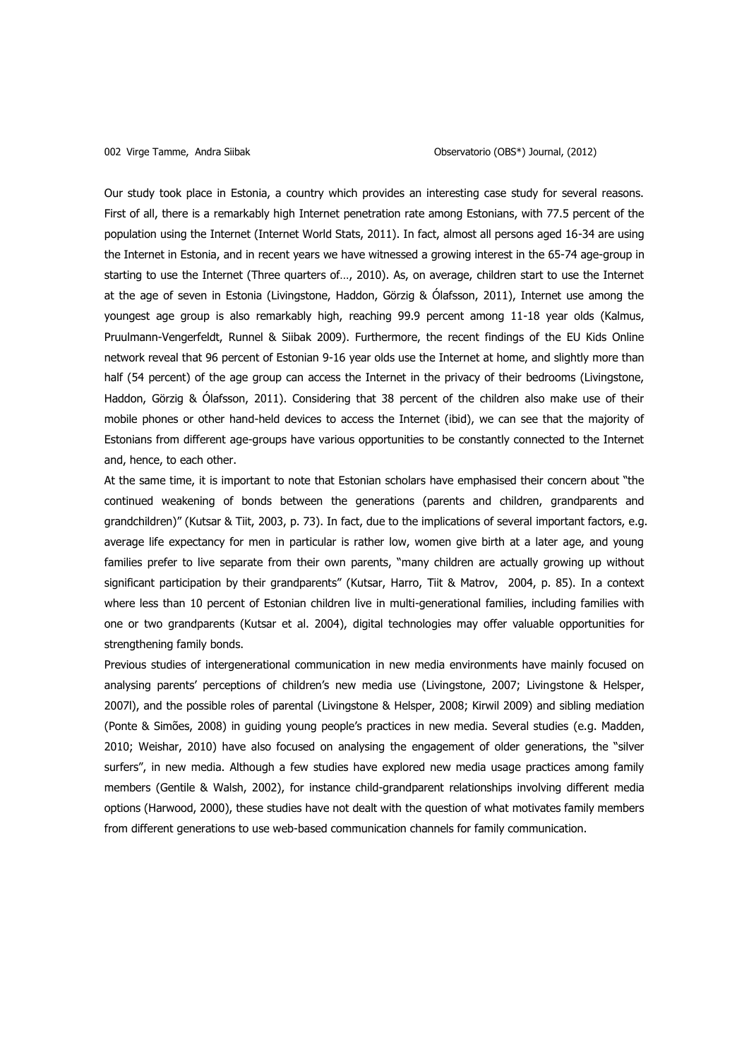Our study took place in Estonia, a country which provides an interesting case study for several reasons. First of all, there is a remarkably high Internet penetration rate among Estonians, with 77.5 percent of the population using the Internet (Internet World Stats, 2011). In fact, almost all persons aged 16-34 are using the Internet in Estonia, and in recent years we have witnessed a growing interest in the 65-74 age-group in starting to use the Internet (Three quarters of…, 2010). As, on average, children start to use the Internet at the age of seven in Estonia (Livingstone, Haddon, Görzig & Ólafsson, 2011), Internet use among the youngest age group is also remarkably high, reaching 99.9 percent among 11-18 year olds (Kalmus, Pruulmann-Vengerfeldt, Runnel & Siibak 2009). Furthermore, the recent findings of the EU Kids Online network reveal that 96 percent of Estonian 9-16 year olds use the Internet at home, and slightly more than half (54 percent) of the age group can access the Internet in the privacy of their bedrooms (Livingstone, Haddon, Görzig & Ólafsson, 2011). Considering that 38 percent of the children also make use of their mobile phones or other hand-held devices to access the Internet (ibid), we can see that the majority of Estonians from different age-groups have various opportunities to be constantly connected to the Internet and, hence, to each other.

At the same time, it is important to note that Estonian scholars have emphasised their concern about "the continued weakening of bonds between the generations (parents and children, grandparents and grandchildren)" (Kutsar & Tiit, 2003, p. 73). In fact, due to the implications of several important factors, e.g. average life expectancy for men in particular is rather low, women give birth at a later age, and young families prefer to live separate from their own parents, "many children are actually growing up without significant participation by their grandparents" (Kutsar, Harro, Tiit & Matrov, 2004, p. 85). In a context where less than 10 percent of Estonian children live in multi-generational families, including families with one or two grandparents (Kutsar et al. 2004), digital technologies may offer valuable opportunities for strengthening family bonds.

Previous studies of intergenerational communication in new media environments have mainly focused on analysing parents' perceptions of children's new media use (Livingstone, 2007; Livingstone & Helsper, 2007l), and the possible roles of parental (Livingstone & Helsper, 2008; Kirwil 2009) and sibling mediation (Ponte & Simões, 2008) in guiding young people's practices in new media. Several studies (e.g. Madden, 2010; Weishar, 2010) have also focused on analysing the engagement of older generations, the "silver surfers", in new media. Although a few studies have explored new media usage practices among family members (Gentile & Walsh, 2002), for instance child-grandparent relationships involving different media options (Harwood, 2000), these studies have not dealt with the question of what motivates family members from different generations to use web-based communication channels for family communication.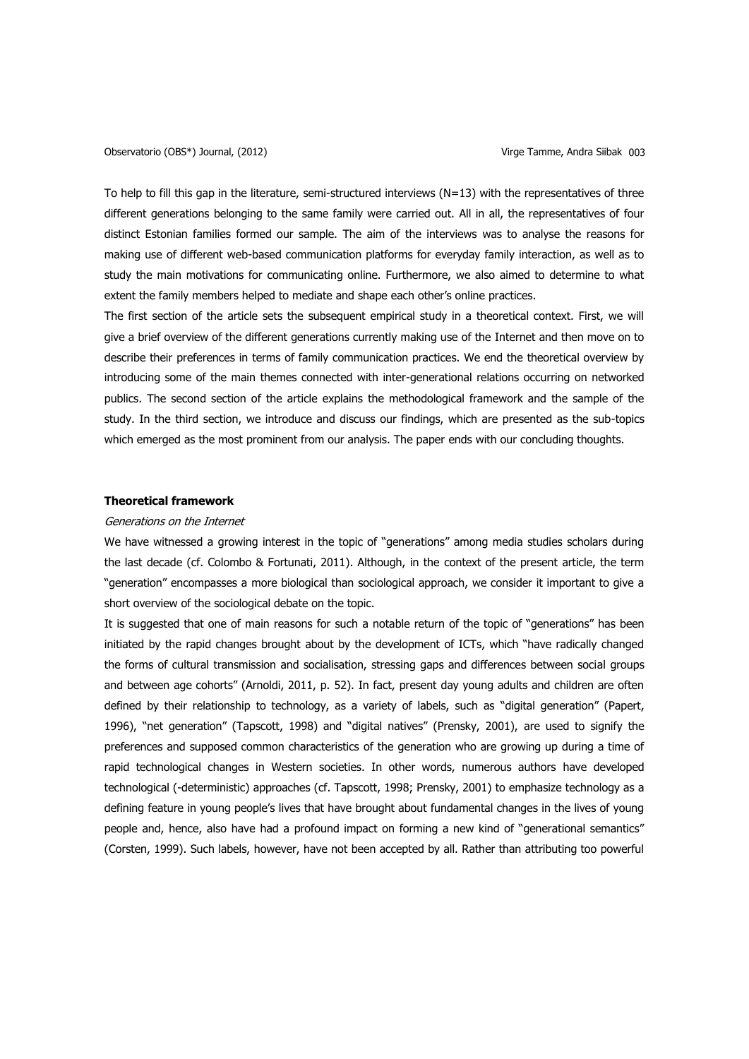To help to fill this gap in the literature, semi-structured interviews  $(N=13)$  with the representatives of three different generations belonging to the same family were carried out. All in all, the representatives of four distinct Estonian families formed our sample. The aim of the interviews was to analyse the reasons for making use of different web-based communication platforms for everyday family interaction, as well as to study the main motivations for communicating online. Furthermore, we also aimed to determine to what extent the family members helped to mediate and shape each other's online practices.

The first section of the article sets the subsequent empirical study in a theoretical context. First, we will give a brief overview of the different generations currently making use of the Internet and then move on to describe their preferences in terms of family communication practices. We end the theoretical overview by introducing some of the main themes connected with inter-generational relations occurring on networked publics. The second section of the article explains the methodological framework and the sample of the study. In the third section, we introduce and discuss our findings, which are presented as the sub-topics which emerged as the most prominent from our analysis. The paper ends with our concluding thoughts.

### **Theoretical framework**

#### Generations on the Internet

We have witnessed a growing interest in the topic of "generations" among media studies scholars during the last decade (cf. Colombo & Fortunati, 2011). Although, in the context of the present article, the term "generation" encompasses a more biological than sociological approach, we consider it important to give a short overview of the sociological debate on the topic.

It is suggested that one of main reasons for such a notable return of the topic of "generations" has been initiated by the rapid changes brought about by the development of ICTs, which "have radically changed the forms of cultural transmission and socialisation, stressing gaps and differences between social groups and between age cohorts" (Arnoldi, 2011, p. 52). In fact, present day young adults and children are often defined by their relationship to technology, as a variety of labels, such as "digital generation" (Papert, 1996), "net generation" (Tapscott, 1998) and "digital natives" (Prensky, 2001), are used to signify the preferences and supposed common characteristics of the generation who are growing up during a time of rapid technological changes in Western societies. In other words, numerous authors have developed technological (-deterministic) approaches (cf. Tapscott, 1998; Prensky, 2001) to emphasize technology as a defining feature in young people's lives that have brought about fundamental changes in the lives of young people and, hence, also have had a profound impact on forming a new kind of "generational semantics" (Corsten, 1999). Such labels, however, have not been accepted by all. Rather than attributing too powerful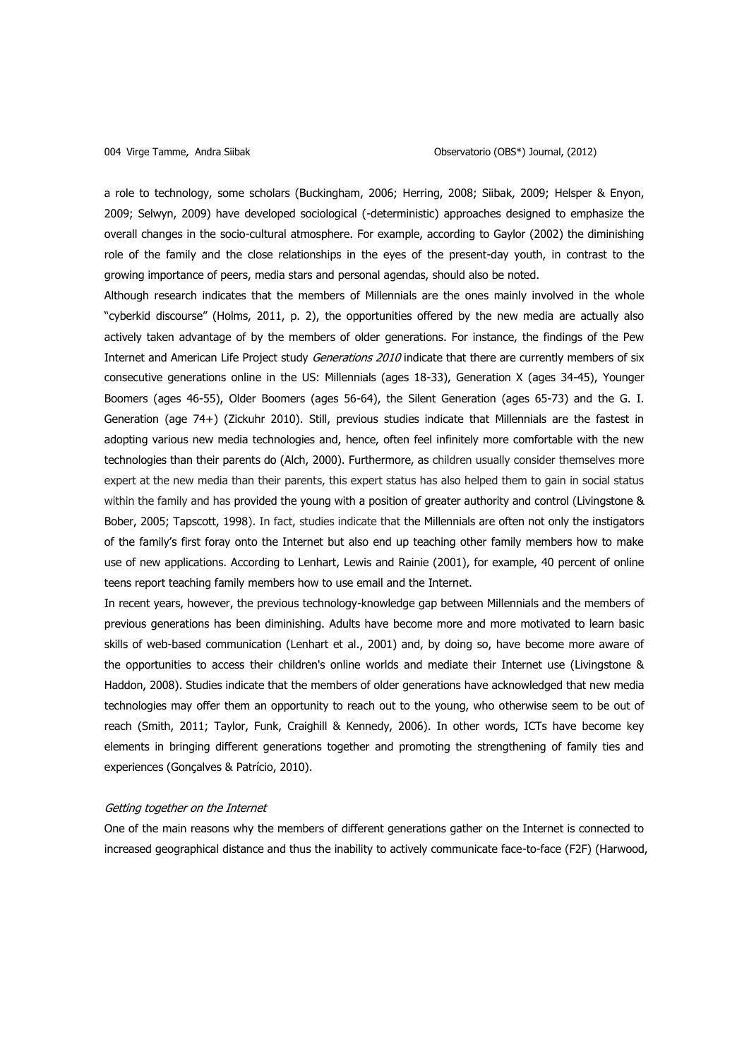a role to technology, some scholars (Buckingham, 2006; Herring, 2008; Siibak, 2009; Helsper & Enyon, 2009; Selwyn, 2009) have developed sociological (-deterministic) approaches designed to emphasize the overall changes in the socio-cultural atmosphere. For example, according to Gaylor (2002) the diminishing role of the family and the close relationships in the eyes of the present-day youth, in contrast to the growing importance of peers, media stars and personal agendas, should also be noted.

Although research indicates that the members of Millennials are the ones mainly involved in the whole "cyberkid discourse" (Holms, 2011, p. 2), the opportunities offered by the new media are actually also actively taken advantage of by the members of older generations. For instance, the findings of the Pew Internet and American Life Project study *Generations 2010* indicate that there are currently members of six consecutive generations online in the US: Millennials (ages 18-33), Generation X (ages 34-45), Younger Boomers (ages 46-55), Older Boomers (ages 56-64), the Silent Generation (ages 65-73) and the G. I. Generation (age 74+) (Zickuhr 2010). Still, previous studies indicate that Millennials are the fastest in adopting various new media technologies and, hence, often feel infinitely more comfortable with the new technologies than their parents do (Alch, 2000). Furthermore, as children usually consider themselves more expert at the new media than their parents, this expert status has also helped them to gain in social status within the family and has provided the young with a position of greater authority and control (Livingstone & Bober, 2005; Tapscott, 1998). In fact, studies indicate that the Millennials are often not only the instigators of the family's first foray onto the Internet but also end up teaching other family members how to make use of new applications. According to Lenhart, Lewis and Rainie (2001), for example, 40 percent of online teens report teaching family members how to use email and the Internet.

In recent years, however, the previous technology-knowledge gap between Millennials and the members of previous generations has been diminishing. Adults have become more and more motivated to learn basic skills of web-based communication (Lenhart et al., 2001) and, by doing so, have become more aware of the opportunities to access their children's online worlds and mediate their Internet use (Livingstone & Haddon, 2008). Studies indicate that the members of older generations have acknowledged that new media technologies may offer them an opportunity to reach out to the young, who otherwise seem to be out of reach (Smith, 2011; Taylor, Funk, Craighill & Kennedy, 2006). In other words, ICTs have become key elements in bringing different generations together and promoting the strengthening of family ties and experiences (Gonçalves & Patrício, 2010).

#### Getting together on the Internet

One of the main reasons why the members of different generations gather on the Internet is connected to increased geographical distance and thus the inability to actively communicate face-to-face (F2F) (Harwood,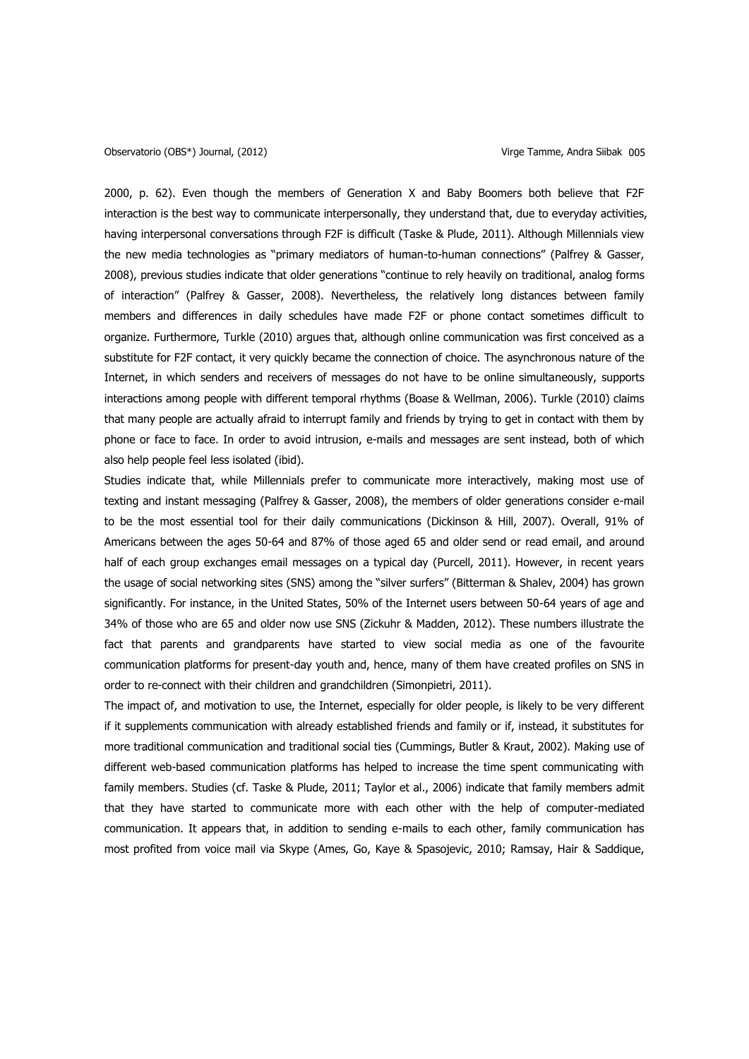2000, p. 62). Even though the members of Generation X and Baby Boomers both believe that F2F interaction is the best way to communicate interpersonally, they understand that, due to everyday activities, having interpersonal conversations through F2F is difficult (Taske & Plude, 2011). Although Millennials view the new media technologies as "primary mediators of human-to-human connections" (Palfrey & Gasser, 2008), previous studies indicate that older generations "continue to rely heavily on traditional, analog forms of interaction" (Palfrey & Gasser, 2008). Nevertheless, the relatively long distances between family members and differences in daily schedules have made F2F or phone contact sometimes difficult to organize. Furthermore, Turkle (2010) argues that, although online communication was first conceived as a substitute for F2F contact, it very quickly became the connection of choice. The asynchronous nature of the Internet, in which senders and receivers of messages do not have to be online simultaneously, supports interactions among people with different temporal rhythms (Boase & Wellman, 2006). Turkle (2010) claims that many people are actually afraid to interrupt family and friends by trying to get in contact with them by phone or face to face. In order to avoid intrusion, e-mails and messages are sent instead, both of which also help people feel less isolated (ibid).

Studies indicate that, while Millennials prefer to communicate more interactively, making most use of texting and instant messaging (Palfrey & Gasser, 2008), the members of older generations consider e-mail to be the most essential tool for their daily communications (Dickinson & Hill, 2007). Overall, 91% of Americans between the ages 50-64 and 87% of those aged 65 and older send or read email, and around half of each group exchanges email messages on a typical day (Purcell, 2011). However, in recent years the usage of social networking sites (SNS) among the "silver surfers" (Bitterman & Shalev, 2004) has grown significantly. For instance, in the United States, 50% of the Internet users between 50-64 years of age and 34% of those who are 65 and older now use SNS (Zickuhr & Madden, 2012). These numbers illustrate the fact that parents and grandparents have started to view social media as one of the favourite communication platforms for present-day youth and, hence, many of them have created profiles on SNS in order to re-connect with their children and grandchildren (Simonpietri, 2011).

The impact of, and motivation to use, the Internet, especially for older people, is likely to be very different if it supplements communication with already established friends and family or if, instead, it substitutes for more traditional communication and traditional social ties (Cummings, Butler & Kraut, 2002). Making use of different web-based communication platforms has helped to increase the time spent communicating with family members. Studies (cf. Taske & Plude, 2011; Taylor et al., 2006) indicate that family members admit that they have started to communicate more with each other with the help of computer-mediated communication. It appears that, in addition to sending e-mails to each other, family communication has most profited from voice mail via Skype (Ames, Go, Kaye & Spasojevic, 2010; Ramsay, Hair & Saddique,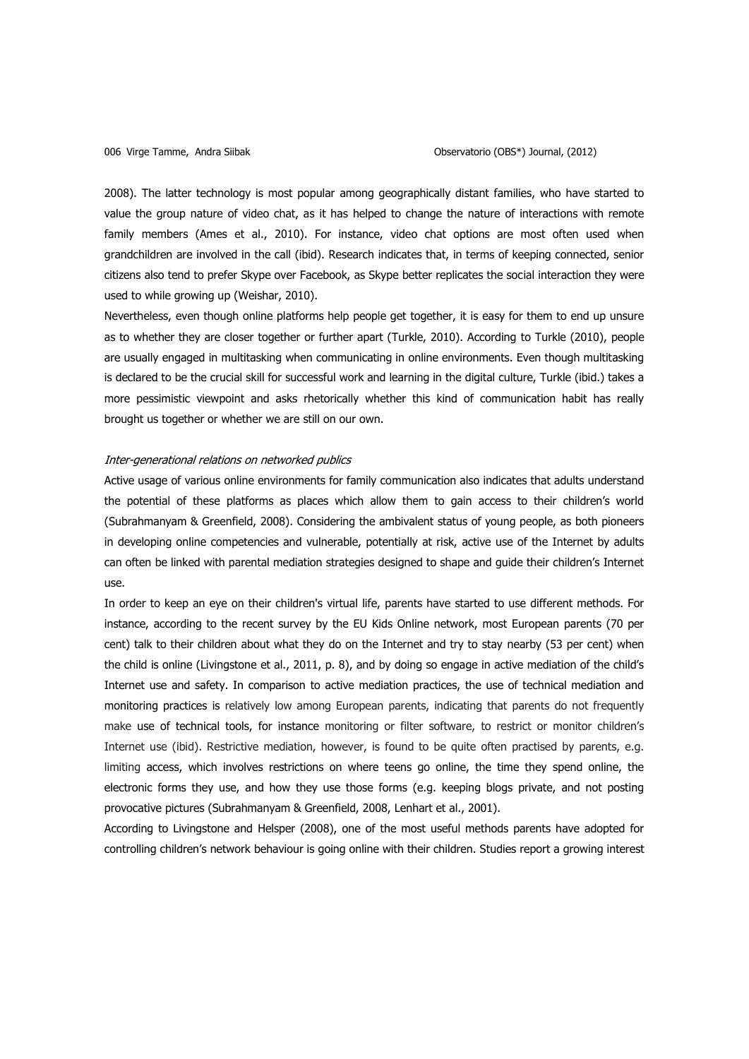2008). The latter technology is most popular among geographically distant families, who have started to value the group nature of video chat, as it has helped to change the nature of interactions with remote family members (Ames et al., 2010). For instance, video chat options are most often used when grandchildren are involved in the call (ibid). Research indicates that, in terms of keeping connected, senior citizens also tend to prefer Skype over Facebook, as Skype better replicates the social interaction they were used to while growing up (Weishar, 2010).

Nevertheless, even though online platforms help people get together, it is easy for them to end up unsure as to whether they are closer together or further apart (Turkle, 2010). According to Turkle (2010), people are usually engaged in multitasking when communicating in online environments. Even though multitasking is declared to be the crucial skill for successful work and learning in the digital culture, Turkle (ibid.) takes a more pessimistic viewpoint and asks rhetorically whether this kind of communication habit has really brought us together or whether we are still on our own.

### Inter-generational relations on networked publics

Active usage of various online environments for family communication also indicates that adults understand the potential of these platforms as places which allow them to gain access to their children's world (Subrahmanyam & Greenfield, 2008). Considering the ambivalent status of young people, as both pioneers in developing online competencies and vulnerable, potentially at risk, active use of the Internet by adults can often be linked with parental mediation strategies designed to shape and guide their children's Internet use.

In order to keep an eye on their children's virtual life, parents have started to use different methods. For instance, according to the recent survey by the EU Kids Online network, most European parents (70 per cent) talk to their children about what they do on the Internet and try to stay nearby (53 per cent) when the child is online (Livingstone et al., 2011, p. 8), and by doing so engage in active mediation of the child's Internet use and safety. In comparison to active mediation practices, the use of technical mediation and monitoring practices is relatively low among European parents, indicating that parents do not frequently make use of technical tools, for instance monitoring or filter software, to restrict or monitor children's Internet use (ibid). Restrictive mediation, however, is found to be quite often practised by parents, e.g. limiting access, which involves restrictions on where teens go online, the time they spend online, the electronic forms they use, and how they use those forms (e.g. keeping blogs private, and not posting provocative pictures (Subrahmanyam & Greenfield, 2008, Lenhart et al., 2001).

According to Livingstone and Helsper (2008), one of the most useful methods parents have adopted for controlling children's network behaviour is going online with their children. Studies report a growing interest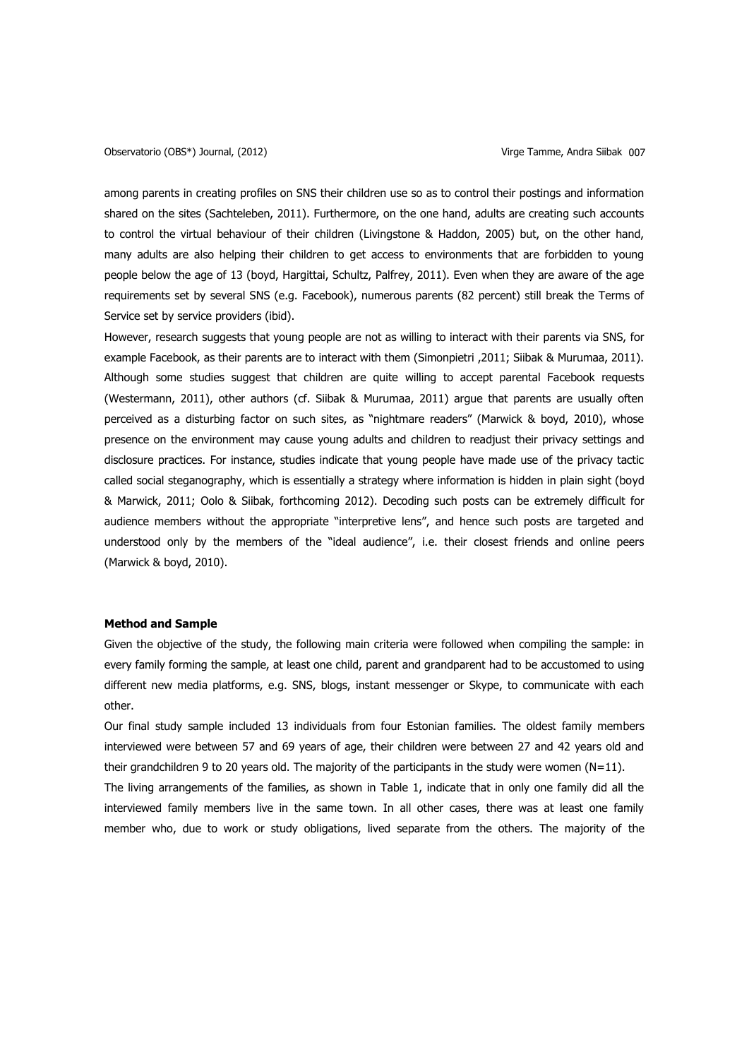among parents in creating profiles on SNS their children use so as to control their postings and information shared on the sites (Sachteleben, 2011). Furthermore, on the one hand, adults are creating such accounts to control the virtual behaviour of their children (Livingstone & Haddon, 2005) but, on the other hand, many adults are also helping their children to get access to environments that are forbidden to young people below the age of 13 (boyd, Hargittai, Schultz, Palfrey, 2011). Even when they are aware of the age requirements set by several SNS (e.g. Facebook), numerous parents (82 percent) still break the Terms of Service set by service providers (ibid).

However, research suggests that young people are not as willing to interact with their parents via SNS, for example Facebook, as their parents are to interact with them (Simonpietri ,2011; Siibak & Murumaa, 2011). Although some studies suggest that children are quite willing to accept parental Facebook requests (Westermann, 2011), other authors (cf. Siibak & Murumaa, 2011) argue that parents are usually often perceived as a disturbing factor on such sites, as "nightmare readers" (Marwick & boyd, 2010), whose presence on the environment may cause young adults and children to readjust their privacy settings and disclosure practices. For instance, studies indicate that young people have made use of the privacy tactic called social steganography, which is essentially a strategy where information is hidden in plain sight (boyd & Marwick, 2011; Oolo & Siibak, forthcoming 2012). Decoding such posts can be extremely difficult for audience members without the appropriate "interpretive lens", and hence such posts are targeted and understood only by the members of the "ideal audience", i.e. their closest friends and online peers (Marwick & boyd, 2010).

#### **Method and Sample**

Given the objective of the study, the following main criteria were followed when compiling the sample: in every family forming the sample, at least one child, parent and grandparent had to be accustomed to using different new media platforms, e.g. SNS, blogs, instant messenger or Skype, to communicate with each other.

Our final study sample included 13 individuals from four Estonian families. The oldest family members interviewed were between 57 and 69 years of age, their children were between 27 and 42 years old and their grandchildren 9 to 20 years old. The majority of the participants in the study were women (N=11).

The living arrangements of the families, as shown in Table 1, indicate that in only one family did all the interviewed family members live in the same town. In all other cases, there was at least one family member who, due to work or study obligations, lived separate from the others. The majority of the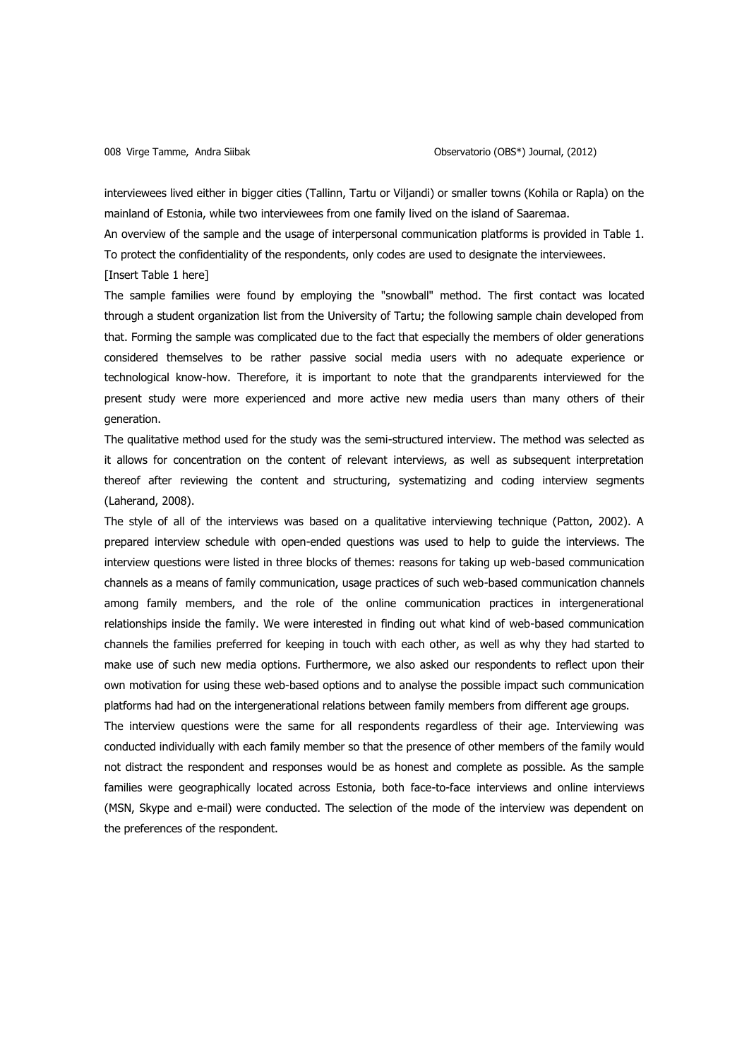interviewees lived either in bigger cities (Tallinn, Tartu or Viljandi) or smaller towns (Kohila or Rapla) on the mainland of Estonia, while two interviewees from one family lived on the island of Saaremaa.

An overview of the sample and the usage of interpersonal communication platforms is provided in Table 1. To protect the confidentiality of the respondents, only codes are used to designate the interviewees. [Insert Table 1 here]

The sample families were found by employing the "snowball" method. The first contact was located through a student organization list from the University of Tartu; the following sample chain developed from that. Forming the sample was complicated due to the fact that especially the members of older generations considered themselves to be rather passive social media users with no adequate experience or technological know-how. Therefore, it is important to note that the grandparents interviewed for the present study were more experienced and more active new media users than many others of their generation.

The qualitative method used for the study was the semi-structured interview. The method was selected as it allows for concentration on the content of relevant interviews, as well as subsequent interpretation thereof after reviewing the content and structuring, systematizing and coding interview segments (Laherand, 2008).

The style of all of the interviews was based on a qualitative interviewing technique (Patton, 2002). A prepared interview schedule with open-ended questions was used to help to guide the interviews. The interview questions were listed in three blocks of themes: reasons for taking up web-based communication channels as a means of family communication, usage practices of such web-based communication channels among family members, and the role of the online communication practices in intergenerational relationships inside the family. We were interested in finding out what kind of web-based communication channels the families preferred for keeping in touch with each other, as well as why they had started to make use of such new media options. Furthermore, we also asked our respondents to reflect upon their own motivation for using these web-based options and to analyse the possible impact such communication platforms had had on the intergenerational relations between family members from different age groups.

The interview questions were the same for all respondents regardless of their age. Interviewing was conducted individually with each family member so that the presence of other members of the family would not distract the respondent and responses would be as honest and complete as possible. As the sample families were geographically located across Estonia, both face-to-face interviews and online interviews (MSN, Skype and e-mail) were conducted. The selection of the mode of the interview was dependent on the preferences of the respondent.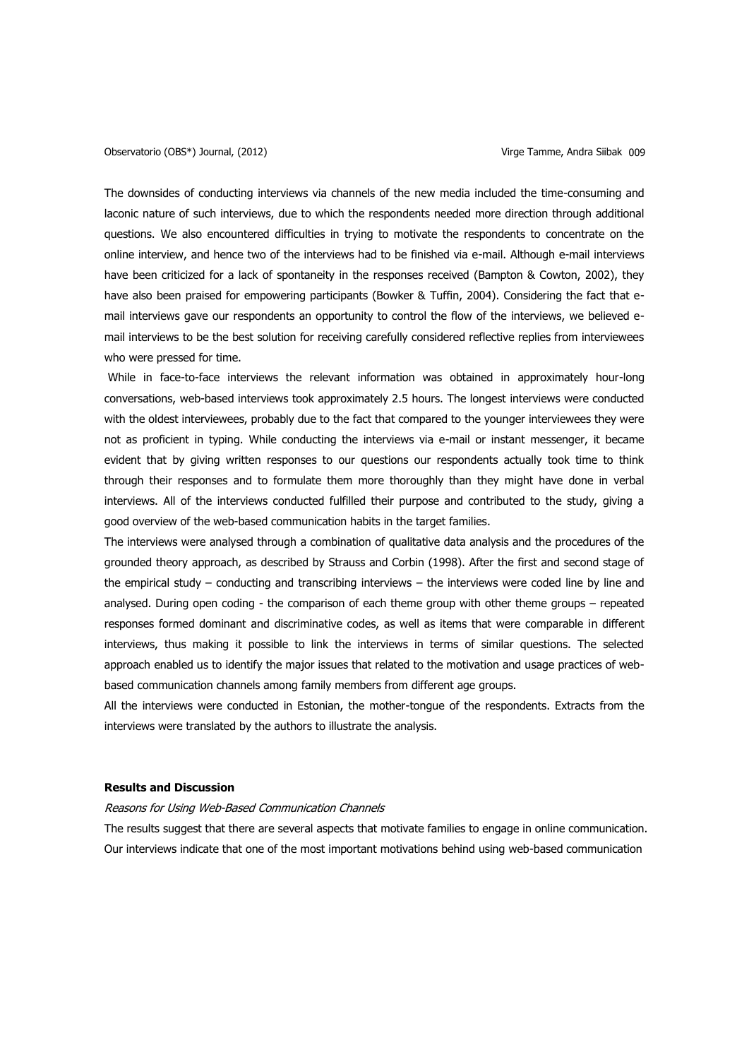The downsides of conducting interviews via channels of the new media included the time-consuming and laconic nature of such interviews, due to which the respondents needed more direction through additional questions. We also encountered difficulties in trying to motivate the respondents to concentrate on the online interview, and hence two of the interviews had to be finished via e-mail. Although e-mail interviews have been criticized for a lack of spontaneity in the responses received (Bampton & Cowton, 2002), they have also been praised for empowering participants (Bowker & Tuffin, 2004). Considering the fact that email interviews gave our respondents an opportunity to control the flow of the interviews, we believed email interviews to be the best solution for receiving carefully considered reflective replies from interviewees who were pressed for time.

While in face-to-face interviews the relevant information was obtained in approximately hour-long conversations, web-based interviews took approximately 2.5 hours. The longest interviews were conducted with the oldest interviewees, probably due to the fact that compared to the younger interviewees they were not as proficient in typing. While conducting the interviews via e-mail or instant messenger, it became evident that by giving written responses to our questions our respondents actually took time to think through their responses and to formulate them more thoroughly than they might have done in verbal interviews. All of the interviews conducted fulfilled their purpose and contributed to the study, giving a good overview of the web-based communication habits in the target families.

The interviews were analysed through a combination of qualitative data analysis and the procedures of the grounded theory approach, as described by Strauss and Corbin (1998). After the first and second stage of the empirical study – conducting and transcribing interviews – the interviews were coded line by line and analysed. During open coding - the comparison of each theme group with other theme groups – repeated responses formed dominant and discriminative codes, as well as items that were comparable in different interviews, thus making it possible to link the interviews in terms of similar questions. The selected approach enabled us to identify the major issues that related to the motivation and usage practices of webbased communication channels among family members from different age groups.

All the interviews were conducted in Estonian, the mother-tongue of the respondents. Extracts from the interviews were translated by the authors to illustrate the analysis.

### **Results and Discussion**

### Reasons for Using Web-Based Communication Channels

The results suggest that there are several aspects that motivate families to engage in online communication. Our interviews indicate that one of the most important motivations behind using web-based communication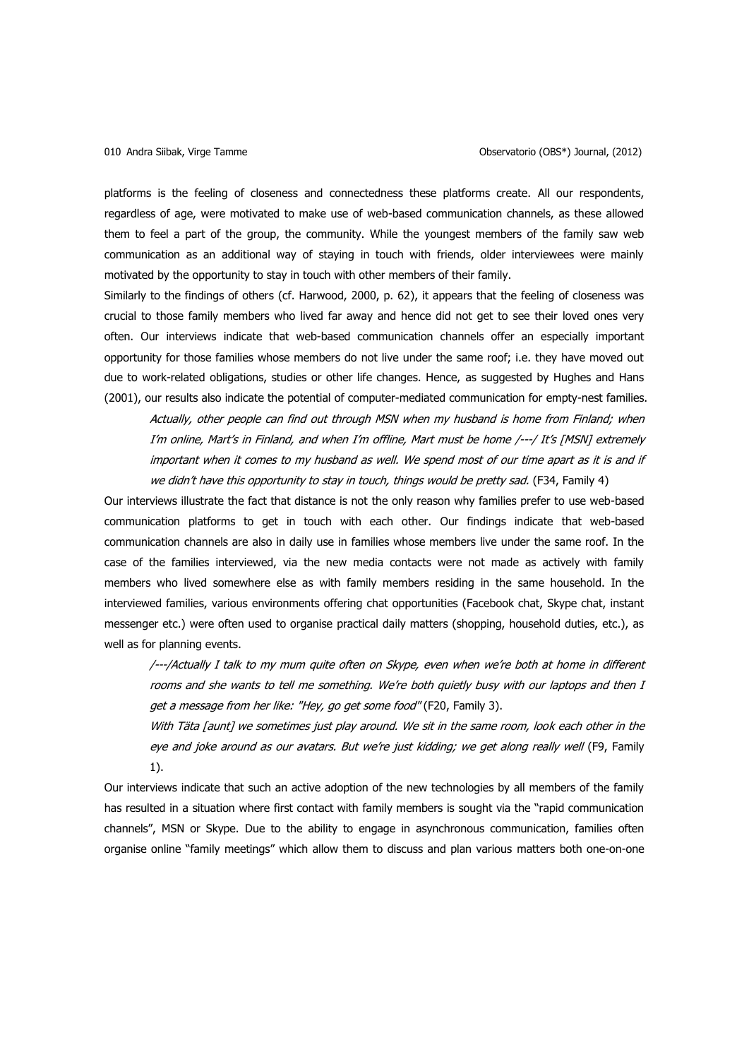platforms is the feeling of closeness and connectedness these platforms create. All our respondents, regardless of age, were motivated to make use of web-based communication channels, as these allowed them to feel a part of the group, the community. While the youngest members of the family saw web communication as an additional way of staying in touch with friends, older interviewees were mainly motivated by the opportunity to stay in touch with other members of their family.

Similarly to the findings of others (cf. Harwood, 2000, p. 62), it appears that the feeling of closeness was crucial to those family members who lived far away and hence did not get to see their loved ones very often. Our interviews indicate that web-based communication channels offer an especially important opportunity for those families whose members do not live under the same roof; i.e. they have moved out due to work-related obligations, studies or other life changes. Hence, as suggested by Hughes and Hans (2001), our results also indicate the potential of computer-mediated communication for empty-nest families.

Actually, other people can find out through MSN when my husband is home from Finland; when I'm online, Mart's in Finland, and when I'm offline, Mart must be home /---/ It's [MSN] extremely important when it comes to my husband as well. We spend most of our time apart as it is and if we didn't have this opportunity to stay in touch, things would be pretty sad. (F34, Family 4)

Our interviews illustrate the fact that distance is not the only reason why families prefer to use web-based communication platforms to get in touch with each other. Our findings indicate that web-based communication channels are also in daily use in families whose members live under the same roof. In the case of the families interviewed, via the new media contacts were not made as actively with family members who lived somewhere else as with family members residing in the same household. In the interviewed families, various environments offering chat opportunities (Facebook chat, Skype chat, instant messenger etc.) were often used to organise practical daily matters (shopping, household duties, etc.), as well as for planning events.

/---/Actually I talk to my mum quite often on Skype, even when we're both at home in different rooms and she wants to tell me something. We're both quietly busy with our laptops and then I get a message from her like: "Hey, go get some food" (F20, Family 3).

With Täta [aunt] we sometimes just play around. We sit in the same room, look each other in the eye and joke around as our avatars. But we're just kidding; we get along really well (F9, Family 1).

Our interviews indicate that such an active adoption of the new technologies by all members of the family has resulted in a situation where first contact with family members is sought via the "rapid communication channels", MSN or Skype. Due to the ability to engage in asynchronous communication, families often organise online "family meetings" which allow them to discuss and plan various matters both one-on-one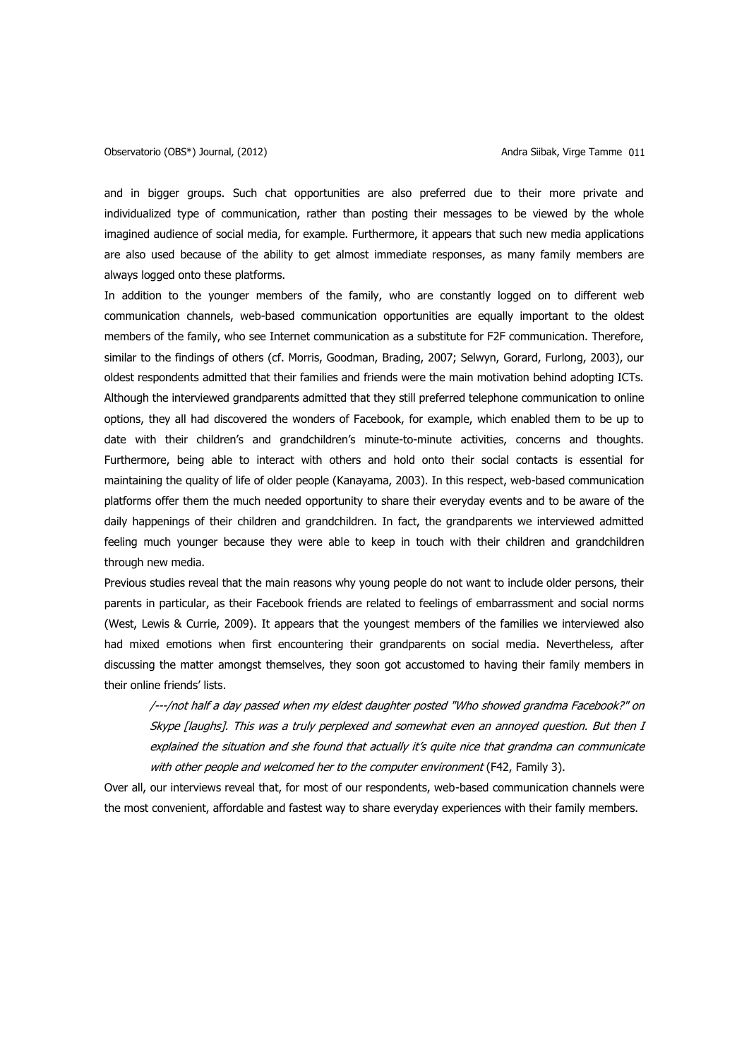and in bigger groups. Such chat opportunities are also preferred due to their more private and individualized type of communication, rather than posting their messages to be viewed by the whole imagined audience of social media, for example. Furthermore, it appears that such new media applications are also used because of the ability to get almost immediate responses, as many family members are always logged onto these platforms.

In addition to the younger members of the family, who are constantly logged on to different web communication channels, web-based communication opportunities are equally important to the oldest members of the family, who see Internet communication as a substitute for F2F communication. Therefore, similar to the findings of others (cf. Morris, Goodman, Brading, 2007; Selwyn, Gorard, Furlong, 2003), our oldest respondents admitted that their families and friends were the main motivation behind adopting ICTs. Although the interviewed grandparents admitted that they still preferred telephone communication to online options, they all had discovered the wonders of Facebook, for example, which enabled them to be up to date with their children's and grandchildren's minute-to-minute activities, concerns and thoughts. Furthermore, being able to interact with others and hold onto their social contacts is essential for maintaining the quality of life of older people (Kanayama, 2003). In this respect, web-based communication platforms offer them the much needed opportunity to share their everyday events and to be aware of the daily happenings of their children and grandchildren. In fact, the grandparents we interviewed admitted feeling much younger because they were able to keep in touch with their children and grandchildren through new media.

Previous studies reveal that the main reasons why young people do not want to include older persons, their parents in particular, as their Facebook friends are related to feelings of embarrassment and social norms (West, Lewis & Currie, 2009). It appears that the youngest members of the families we interviewed also had mixed emotions when first encountering their grandparents on social media. Nevertheless, after discussing the matter amongst themselves, they soon got accustomed to having their family members in their online friends' lists.

/---/not half a day passed when my eldest daughter posted "Who showed grandma Facebook?" on Skype [laughs]. This was a truly perplexed and somewhat even an annoyed question. But then I explained the situation and she found that actually it's quite nice that grandma can communicate with other people and welcomed her to the computer environment (F42, Family 3).

Over all, our interviews reveal that, for most of our respondents, web-based communication channels were the most convenient, affordable and fastest way to share everyday experiences with their family members.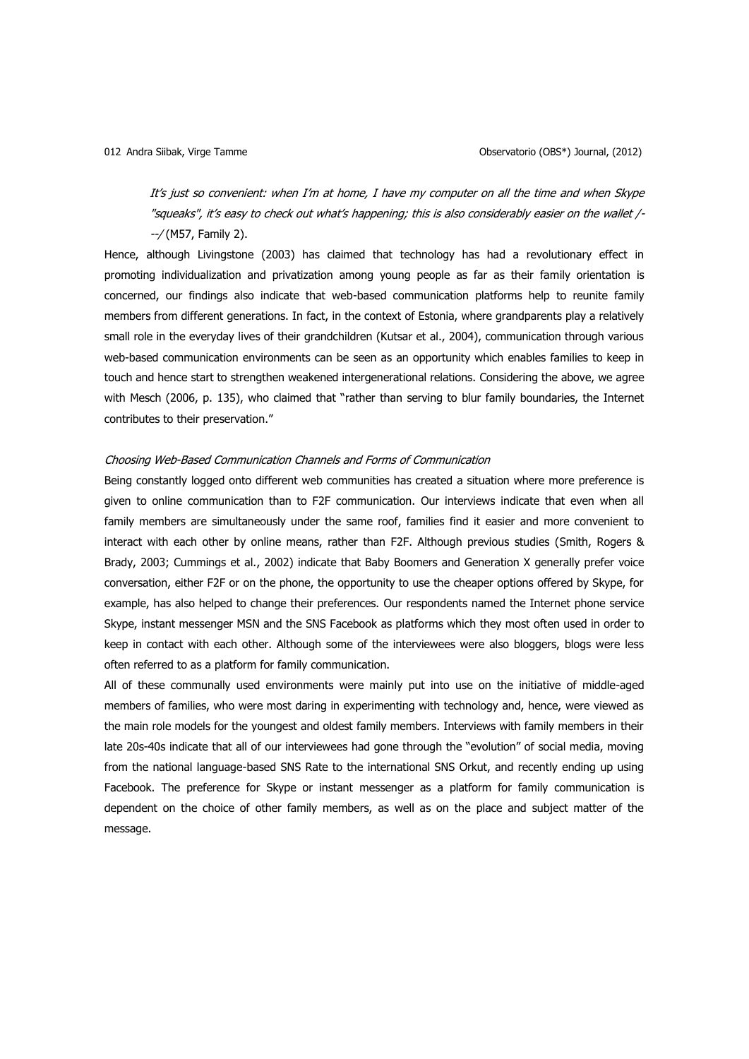It's just so convenient: when I'm at home, I have my computer on all the time and when Skype "squeaks", it's easy to check out what's happening; this is also considerably easier on the wallet /- --/ (M57, Family 2).

Hence, although Livingstone (2003) has claimed that technology has had a revolutionary effect in promoting individualization and privatization among young people as far as their family orientation is concerned, our findings also indicate that web-based communication platforms help to reunite family members from different generations. In fact, in the context of Estonia, where grandparents play a relatively small role in the everyday lives of their grandchildren (Kutsar et al., 2004), communication through various web-based communication environments can be seen as an opportunity which enables families to keep in touch and hence start to strengthen weakened intergenerational relations. Considering the above, we agree with Mesch (2006, p. 135), who claimed that "rather than serving to blur family boundaries, the Internet contributes to their preservation."

### Choosing Web-Based Communication Channels and Forms of Communication

Being constantly logged onto different web communities has created a situation where more preference is given to online communication than to F2F communication. Our interviews indicate that even when all family members are simultaneously under the same roof, families find it easier and more convenient to interact with each other by online means, rather than F2F. Although previous studies (Smith, Rogers & Brady, 2003; Cummings et al., 2002) indicate that Baby Boomers and Generation X generally prefer voice conversation, either F2F or on the phone, the opportunity to use the cheaper options offered by Skype, for example, has also helped to change their preferences. Our respondents named the Internet phone service Skype, instant messenger MSN and the SNS Facebook as platforms which they most often used in order to keep in contact with each other. Although some of the interviewees were also bloggers, blogs were less often referred to as a platform for family communication.

All of these communally used environments were mainly put into use on the initiative of middle-aged members of families, who were most daring in experimenting with technology and, hence, were viewed as the main role models for the youngest and oldest family members. Interviews with family members in their late 20s-40s indicate that all of our interviewees had gone through the "evolution" of social media, moving from the national language-based SNS Rate to the international SNS Orkut, and recently ending up using Facebook. The preference for Skype or instant messenger as a platform for family communication is dependent on the choice of other family members, as well as on the place and subject matter of the message.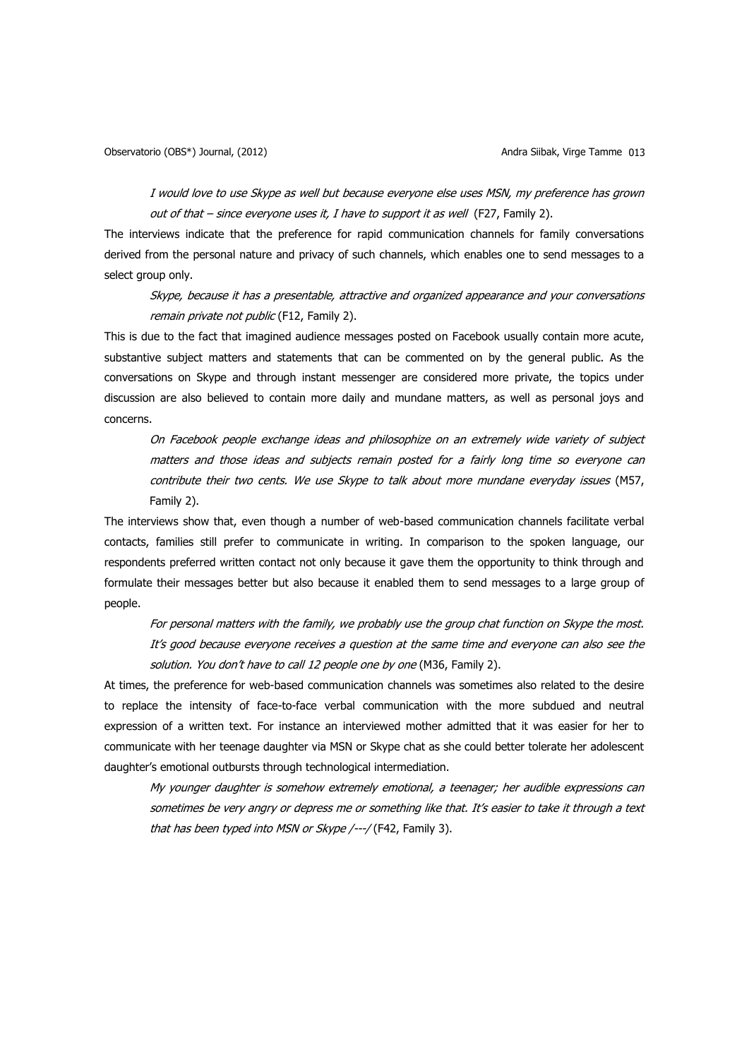I would love to use Skype as well but because everyone else uses MSN, my preference has grown out of that – since everyone uses it, I have to support it as well (F27, Family 2).

The interviews indicate that the preference for rapid communication channels for family conversations derived from the personal nature and privacy of such channels, which enables one to send messages to a select group only.

Skype, because it has a presentable, attractive and organized appearance and your conversations remain private not public (F12, Family 2).

This is due to the fact that imagined audience messages posted on Facebook usually contain more acute, substantive subject matters and statements that can be commented on by the general public. As the conversations on Skype and through instant messenger are considered more private, the topics under discussion are also believed to contain more daily and mundane matters, as well as personal joys and concerns.

On Facebook people exchange ideas and philosophize on an extremely wide variety of subject matters and those ideas and subjects remain posted for a fairly long time so everyone can contribute their two cents. We use Skype to talk about more mundane everyday issues (M57, Family 2).

The interviews show that, even though a number of web-based communication channels facilitate verbal contacts, families still prefer to communicate in writing. In comparison to the spoken language, our respondents preferred written contact not only because it gave them the opportunity to think through and formulate their messages better but also because it enabled them to send messages to a large group of people.

For personal matters with the family, we probably use the group chat function on Skype the most. It's good because everyone receives a question at the same time and everyone can also see the solution. You don't have to call 12 people one by one (M36, Family 2).

At times, the preference for web-based communication channels was sometimes also related to the desire to replace the intensity of face-to-face verbal communication with the more subdued and neutral expression of a written text. For instance an interviewed mother admitted that it was easier for her to communicate with her teenage daughter via MSN or Skype chat as she could better tolerate her adolescent daughter's emotional outbursts through technological intermediation.

My younger daughter is somehow extremely emotional, a teenager; her audible expressions can sometimes be very angry or depress me or something like that. It's easier to take it through a text that has been typed into MSN or Skype /---/ (F42, Family 3).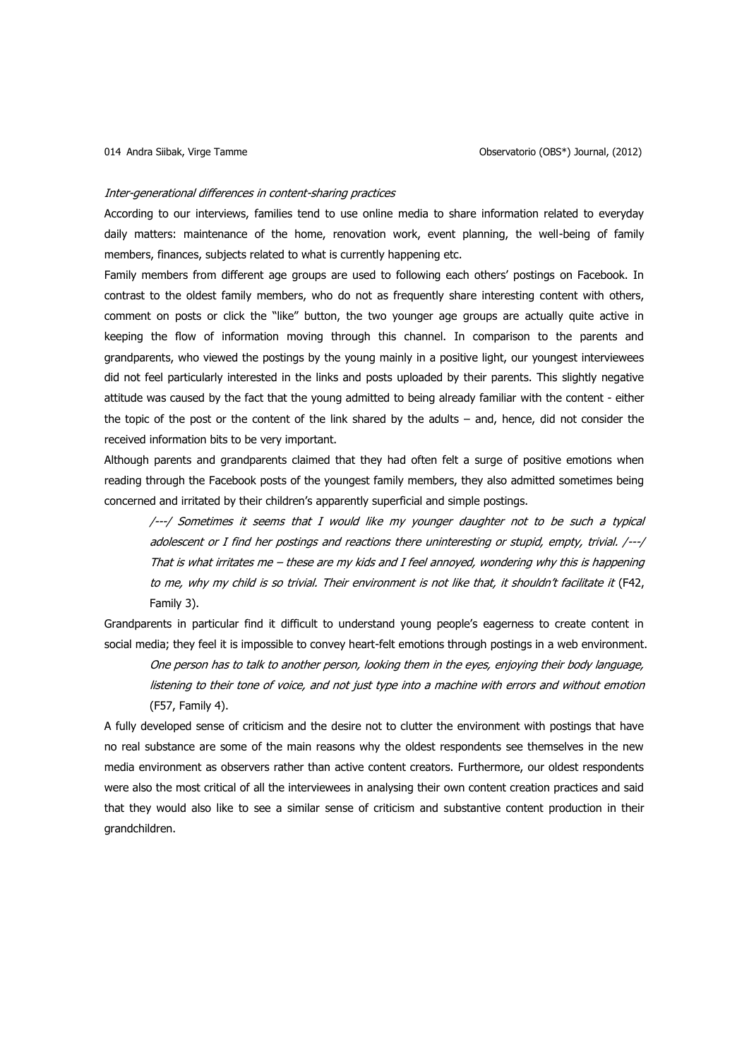#### Inter-generational differences in content-sharing practices

According to our interviews, families tend to use online media to share information related to everyday daily matters: maintenance of the home, renovation work, event planning, the well-being of family members, finances, subjects related to what is currently happening etc.

Family members from different age groups are used to following each others' postings on Facebook. In contrast to the oldest family members, who do not as frequently share interesting content with others, comment on posts or click the "like" button, the two younger age groups are actually quite active in keeping the flow of information moving through this channel. In comparison to the parents and grandparents, who viewed the postings by the young mainly in a positive light, our youngest interviewees did not feel particularly interested in the links and posts uploaded by their parents. This slightly negative attitude was caused by the fact that the young admitted to being already familiar with the content - either the topic of the post or the content of the link shared by the adults – and, hence, did not consider the received information bits to be very important.

Although parents and grandparents claimed that they had often felt a surge of positive emotions when reading through the Facebook posts of the youngest family members, they also admitted sometimes being concerned and irritated by their children's apparently superficial and simple postings.

/---/ Sometimes it seems that I would like my younger daughter not to be such a typical adolescent or I find her postings and reactions there uninteresting or stupid, empty, trivial. /---/ That is what irritates me – these are my kids and I feel annoyed, wondering why this is happening to me, why my child is so trivial. Their environment is not like that, it shouldn't facilitate it (F42, Family 3).

Grandparents in particular find it difficult to understand young people's eagerness to create content in social media; they feel it is impossible to convey heart-felt emotions through postings in a web environment.

One person has to talk to another person, looking them in the eyes, enjoying their body language, listening to their tone of voice, and not just type into a machine with errors and without emotion (F57, Family 4).

A fully developed sense of criticism and the desire not to clutter the environment with postings that have no real substance are some of the main reasons why the oldest respondents see themselves in the new media environment as observers rather than active content creators. Furthermore, our oldest respondents were also the most critical of all the interviewees in analysing their own content creation practices and said that they would also like to see a similar sense of criticism and substantive content production in their grandchildren.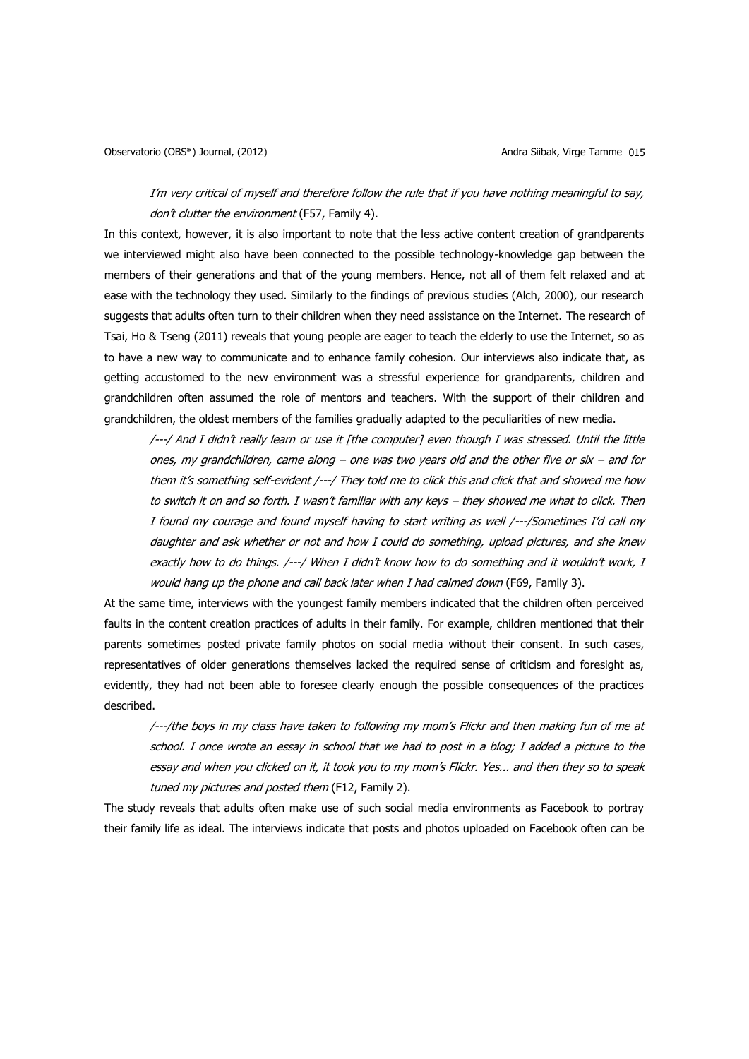I'm very critical of myself and therefore follow the rule that if you have nothing meaningful to say, don't clutter the environment (F57, Family 4).

In this context, however, it is also important to note that the less active content creation of grandparents we interviewed might also have been connected to the possible technology-knowledge gap between the members of their generations and that of the young members. Hence, not all of them felt relaxed and at ease with the technology they used. Similarly to the findings of previous studies (Alch, 2000), our research suggests that adults often turn to their children when they need assistance on the Internet. The research of Tsai, Ho & Tseng (2011) reveals that young people are eager to teach the elderly to use the Internet, so as to have a new way to communicate and to enhance family cohesion. Our interviews also indicate that, as getting accustomed to the new environment was a stressful experience for grandparents, children and grandchildren often assumed the role of mentors and teachers. With the support of their children and grandchildren, the oldest members of the families gradually adapted to the peculiarities of new media.

/---/ And I didn't really learn or use it [the computer] even though I was stressed. Until the little ones, my grandchildren, came along – one was two years old and the other five or six – and for them it's something self-evident /---/ They told me to click this and click that and showed me how to switch it on and so forth. I wasn't familiar with any keys – they showed me what to click. Then I found my courage and found myself having to start writing as well /---/Sometimes I'd call my daughter and ask whether or not and how I could do something, upload pictures, and she knew exactly how to do things. /---/ When I didn't know how to do something and it wouldn't work, I would hang up the phone and call back later when I had calmed down (F69, Family 3).

At the same time, interviews with the youngest family members indicated that the children often perceived faults in the content creation practices of adults in their family. For example, children mentioned that their parents sometimes posted private family photos on social media without their consent. In such cases, representatives of older generations themselves lacked the required sense of criticism and foresight as, evidently, they had not been able to foresee clearly enough the possible consequences of the practices described.

/---/the boys in my class have taken to following my mom's Flickr and then making fun of me at school. I once wrote an essay in school that we had to post in a blog; I added a picture to the essay and when you clicked on it, it took you to my mom's Flickr. Yes... and then they so to speak tuned my pictures and posted them (F12, Family 2).

The study reveals that adults often make use of such social media environments as Facebook to portray their family life as ideal. The interviews indicate that posts and photos uploaded on Facebook often can be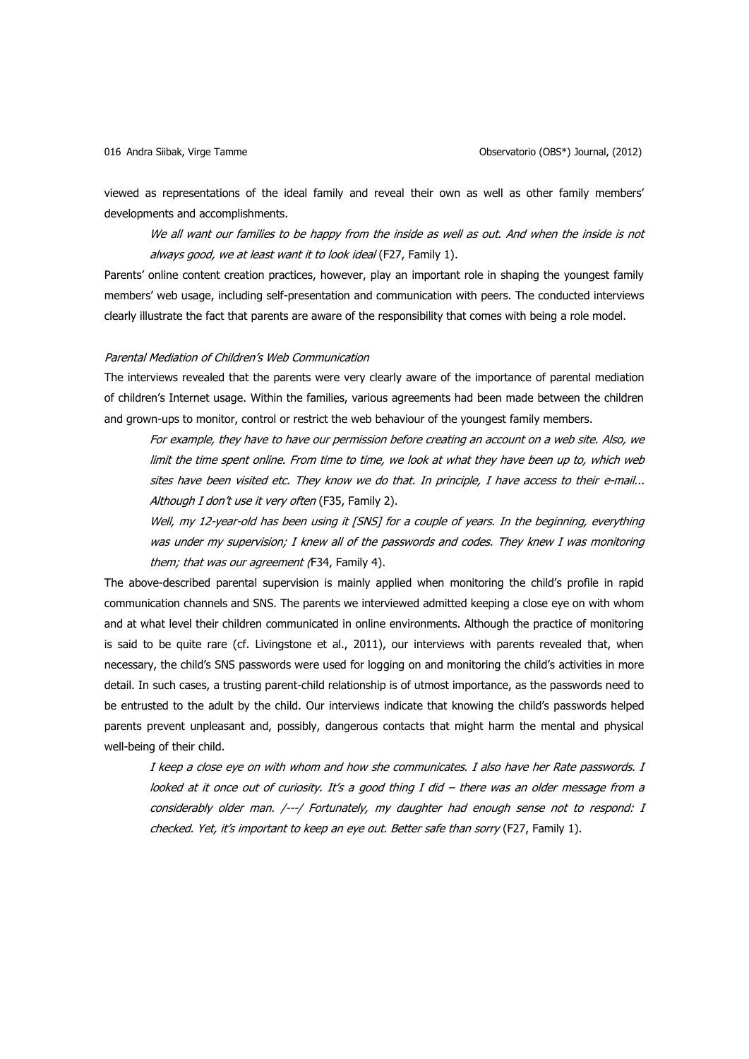viewed as representations of the ideal family and reveal their own as well as other family members' developments and accomplishments.

We all want our families to be happy from the inside as well as out. And when the inside is not always good, we at least want it to look ideal (F27, Family 1).

Parents' online content creation practices, however, play an important role in shaping the youngest family members' web usage, including self-presentation and communication with peers. The conducted interviews clearly illustrate the fact that parents are aware of the responsibility that comes with being a role model.

### Parental Mediation of Children's Web Communication

The interviews revealed that the parents were very clearly aware of the importance of parental mediation of children's Internet usage. Within the families, various agreements had been made between the children and grown-ups to monitor, control or restrict the web behaviour of the youngest family members.

For example, they have to have our permission before creating an account on a web site. Also, we limit the time spent online. From time to time, we look at what they have been up to, which web sites have been visited etc. They know we do that. In principle, I have access to their e-mail... Although I don't use it very often (F35, Family 2).

Well, my 12-year-old has been using it [SNS] for a couple of years. In the beginning, everything was under my supervision; I knew all of the passwords and codes. They knew I was monitoring them; that was our agreement (F34, Family 4).

The above-described parental supervision is mainly applied when monitoring the child's profile in rapid communication channels and SNS. The parents we interviewed admitted keeping a close eye on with whom and at what level their children communicated in online environments. Although the practice of monitoring is said to be quite rare (cf. Livingstone et al., 2011), our interviews with parents revealed that, when necessary, the child's SNS passwords were used for logging on and monitoring the child's activities in more detail. In such cases, a trusting parent-child relationship is of utmost importance, as the passwords need to be entrusted to the adult by the child. Our interviews indicate that knowing the child's passwords helped parents prevent unpleasant and, possibly, dangerous contacts that might harm the mental and physical well-being of their child.

I keep a close eye on with whom and how she communicates. I also have her Rate passwords. I looked at it once out of curiosity. It's a good thing I did – there was an older message from a considerably older man. /---/ Fortunately, my daughter had enough sense not to respond: I checked. Yet, it's important to keep an eye out. Better safe than sorry (F27, Family 1).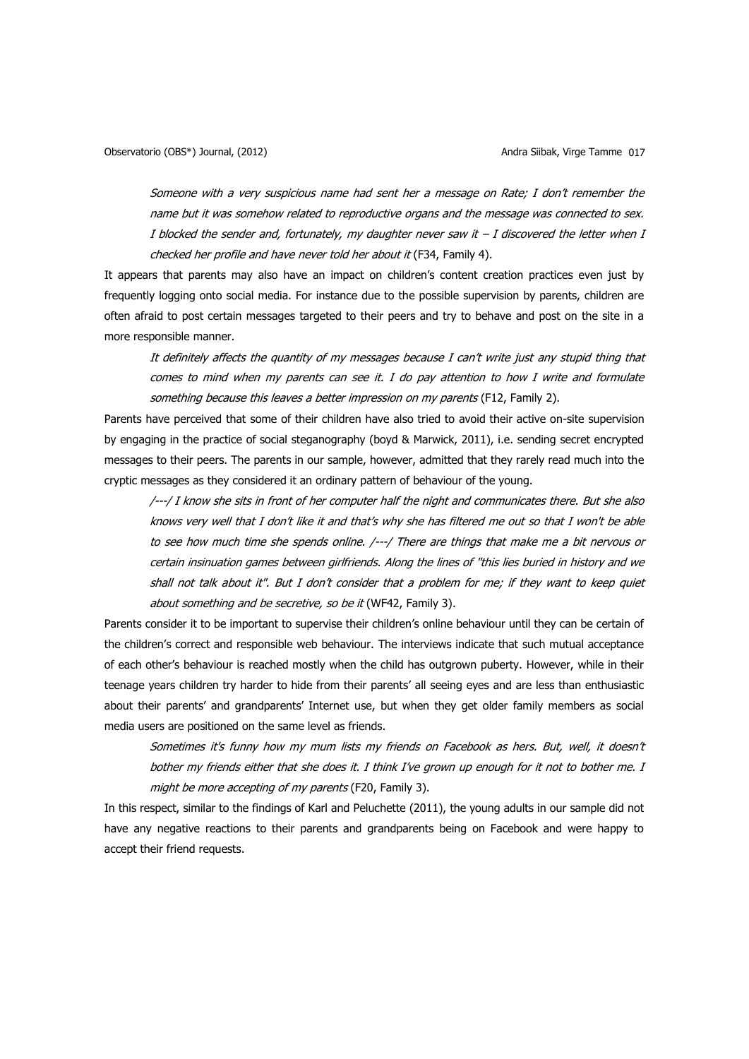Someone with a very suspicious name had sent her a message on Rate; I don't remember the name but it was somehow related to reproductive organs and the message was connected to sex. I blocked the sender and, fortunately, my daughter never saw it  $-I$  discovered the letter when I checked her profile and have never told her about it (F34, Family 4).

It appears that parents may also have an impact on children's content creation practices even just by frequently logging onto social media. For instance due to the possible supervision by parents, children are often afraid to post certain messages targeted to their peers and try to behave and post on the site in a more responsible manner.

It definitely affects the quantity of my messages because I can't write just any stupid thing that comes to mind when my parents can see it. I do pay attention to how I write and formulate something because this leaves a better impression on my parents (F12, Family 2).

Parents have perceived that some of their children have also tried to avoid their active on-site supervision by engaging in the practice of social steganography (boyd & Marwick, 2011), i.e. sending secret encrypted messages to their peers. The parents in our sample, however, admitted that they rarely read much into the cryptic messages as they considered it an ordinary pattern of behaviour of the young.

/---/ I know she sits in front of her computer half the night and communicates there. But she also knows very well that I don't like it and that's why she has filtered me out so that I won't be able to see how much time she spends online. /---/ There are things that make me a bit nervous or certain insinuation games between girlfriends. Along the lines of "this lies buried in history and we shall not talk about it". But I don't consider that a problem for me; if they want to keep quiet about something and be secretive, so be it (WF42, Family 3).

Parents consider it to be important to supervise their children's online behaviour until they can be certain of the children's correct and responsible web behaviour. The interviews indicate that such mutual acceptance of each other's behaviour is reached mostly when the child has outgrown puberty. However, while in their teenage years children try harder to hide from their parents' all seeing eyes and are less than enthusiastic about their parents' and grandparents' Internet use, but when they get older family members as social media users are positioned on the same level as friends.

Sometimes it's funny how my mum lists my friends on Facebook as hers. But, well, it doesn't bother my friends either that she does it. I think I've grown up enough for it not to bother me. I might be more accepting of my parents (F20, Family 3).

In this respect, similar to the findings of Karl and Peluchette (2011), the young adults in our sample did not have any negative reactions to their parents and grandparents being on Facebook and were happy to accept their friend requests.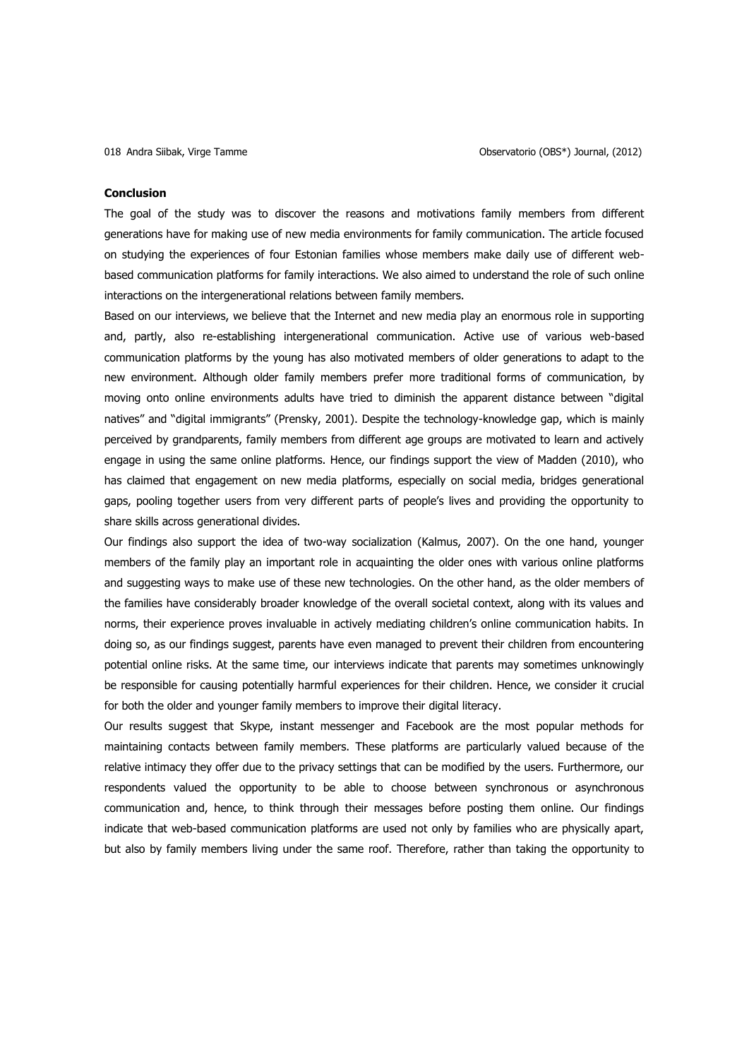#### **Conclusion**

The goal of the study was to discover the reasons and motivations family members from different generations have for making use of new media environments for family communication. The article focused on studying the experiences of four Estonian families whose members make daily use of different webbased communication platforms for family interactions. We also aimed to understand the role of such online interactions on the intergenerational relations between family members.

Based on our interviews, we believe that the Internet and new media play an enormous role in supporting and, partly, also re-establishing intergenerational communication. Active use of various web-based communication platforms by the young has also motivated members of older generations to adapt to the new environment. Although older family members prefer more traditional forms of communication, by moving onto online environments adults have tried to diminish the apparent distance between "digital natives" and "digital immigrants" (Prensky, 2001). Despite the technology-knowledge gap, which is mainly perceived by grandparents, family members from different age groups are motivated to learn and actively engage in using the same online platforms. Hence, our findings support the view of Madden (2010), who has claimed that engagement on new media platforms, especially on social media, bridges generational gaps, pooling together users from very different parts of people's lives and providing the opportunity to share skills across generational divides.

Our findings also support the idea of two-way socialization (Kalmus, 2007). On the one hand, younger members of the family play an important role in acquainting the older ones with various online platforms and suggesting ways to make use of these new technologies. On the other hand, as the older members of the families have considerably broader knowledge of the overall societal context, along with its values and norms, their experience proves invaluable in actively mediating children's online communication habits. In doing so, as our findings suggest, parents have even managed to prevent their children from encountering potential online risks. At the same time, our interviews indicate that parents may sometimes unknowingly be responsible for causing potentially harmful experiences for their children. Hence, we consider it crucial for both the older and younger family members to improve their digital literacy.

Our results suggest that Skype, instant messenger and Facebook are the most popular methods for maintaining contacts between family members. These platforms are particularly valued because of the relative intimacy they offer due to the privacy settings that can be modified by the users. Furthermore, our respondents valued the opportunity to be able to choose between synchronous or asynchronous communication and, hence, to think through their messages before posting them online. Our findings indicate that web-based communication platforms are used not only by families who are physically apart, but also by family members living under the same roof. Therefore, rather than taking the opportunity to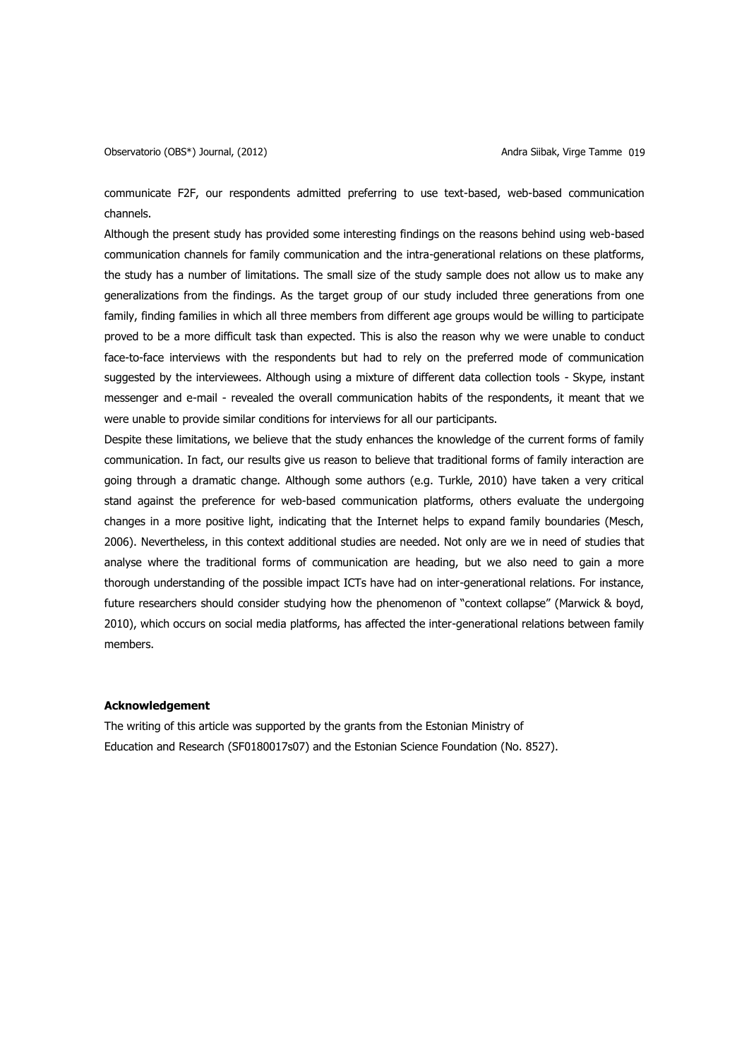Observatorio (OBS\*) Journal, (2012) Andra Siibak, Virge Tamme 019

communicate F2F, our respondents admitted preferring to use text-based, web-based communication channels.

Although the present study has provided some interesting findings on the reasons behind using web-based communication channels for family communication and the intra-generational relations on these platforms, the study has a number of limitations. The small size of the study sample does not allow us to make any generalizations from the findings. As the target group of our study included three generations from one family, finding families in which all three members from different age groups would be willing to participate proved to be a more difficult task than expected. This is also the reason why we were unable to conduct face-to-face interviews with the respondents but had to rely on the preferred mode of communication suggested by the interviewees. Although using a mixture of different data collection tools - Skype, instant messenger and e-mail - revealed the overall communication habits of the respondents, it meant that we were unable to provide similar conditions for interviews for all our participants.

Despite these limitations, we believe that the study enhances the knowledge of the current forms of family communication. In fact, our results give us reason to believe that traditional forms of family interaction are going through a dramatic change. Although some authors (e.g. Turkle, 2010) have taken a very critical stand against the preference for web-based communication platforms, others evaluate the undergoing changes in a more positive light, indicating that the Internet helps to expand family boundaries (Mesch, 2006). Nevertheless, in this context additional studies are needed. Not only are we in need of studies that analyse where the traditional forms of communication are heading, but we also need to gain a more thorough understanding of the possible impact ICTs have had on inter-generational relations. For instance, future researchers should consider studying how the phenomenon of "context collapse" (Marwick & boyd, 2010), which occurs on social media platforms, has affected the inter-generational relations between family members.

### **Acknowledgement**

The writing of this article was supported by the grants from the Estonian Ministry of Education and Research (SF0180017s07) and the Estonian Science Foundation (No. 8527).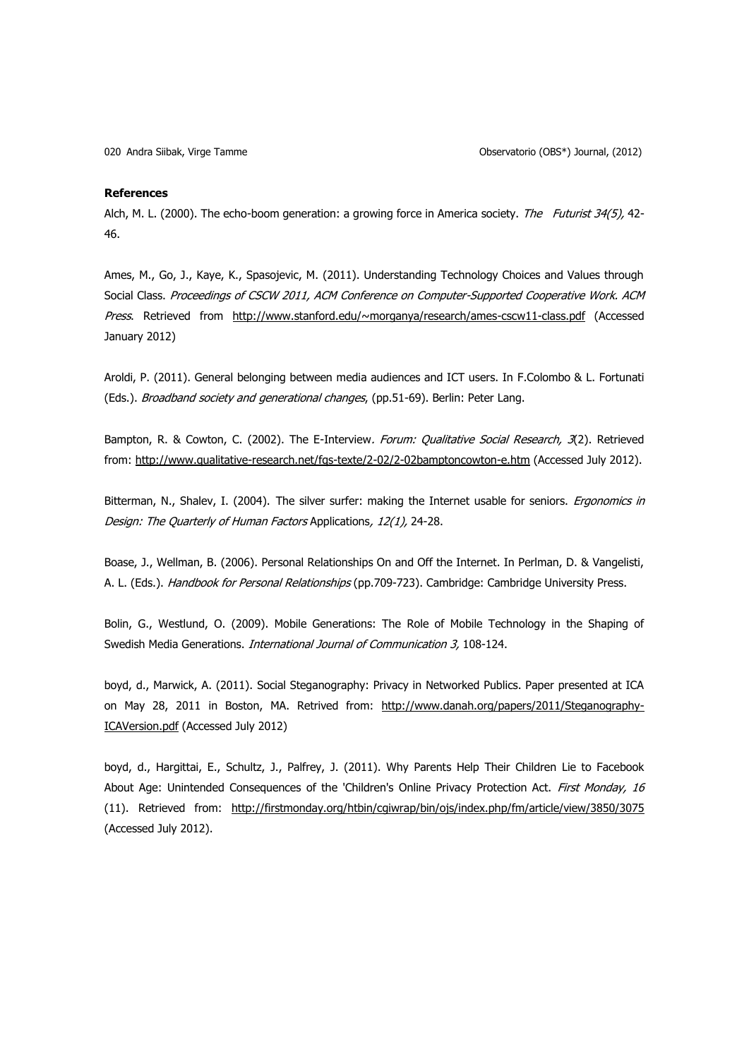#### **References**

Alch, M. L. (2000). The echo-boom generation: a growing force in America society. The Futurist 34(5), 42-46.

Ames, M., Go, J., Kaye, K., Spasojevic, M. (2011). Understanding Technology Choices and Values through Social Class. Proceedings of CSCW 2011, ACM Conference on Computer-Supported Cooperative Work. ACM Press. Retrieved from <http://www.stanford.edu/~morganya/research/ames-cscw11-class.pdf> (Accessed January 2012)

Aroldi, P. (2011). General belonging between media audiences and ICT users. In F.Colombo & L. Fortunati (Eds.). Broadband society and generational changes, (pp.51-69). Berlin: Peter Lang.

Bampton, R. & Cowton, C. (2002). The E-Interview. Forum: Qualitative Social Research, 3(2). Retrieved from:<http://www.qualitative-research.net/fqs-texte/2-02/2-02bamptoncowton-e.htm> (Accessed July 2012).

Bitterman, N., Shalev, I. (2004). The silver surfer: making the Internet usable for seniors. *Ergonomics in* Design: The Quarterly of Human Factors Applications, 12(1), 24-28.

Boase, J., Wellman, B. (2006). Personal Relationships On and Off the Internet. In Perlman, D. & Vangelisti, A. L. (Eds.). Handbook for Personal Relationships (pp.709-723). Cambridge: Cambridge University Press.

Bolin, G., Westlund, O. (2009). Mobile Generations: The Role of Mobile Technology in the Shaping of Swedish Media Generations. International Journal of Communication 3, 108-124.

boyd, d., Marwick, A. (2011). Social Steganography: Privacy in Networked Publics. Paper presented at ICA on May 28, 2011 in Boston, MA. Retrived from: [http://www.danah.org/papers/2011/Steganography-](http://www.danah.org/papers/2011/Steganography-ICAVersion.pdf)[ICAVersion.pdf](http://www.danah.org/papers/2011/Steganography-ICAVersion.pdf) (Accessed July 2012)

boyd, d., Hargittai, E., Schultz, J., Palfrey, J. (2011). Why Parents Help Their Children Lie to Facebook About Age: Unintended Consequences of the 'Children's Online Privacy Protection Act. First Monday, 16 (11). Retrieved from: <http://firstmonday.org/htbin/cgiwrap/bin/ojs/index.php/fm/article/view/3850/3075> (Accessed July 2012).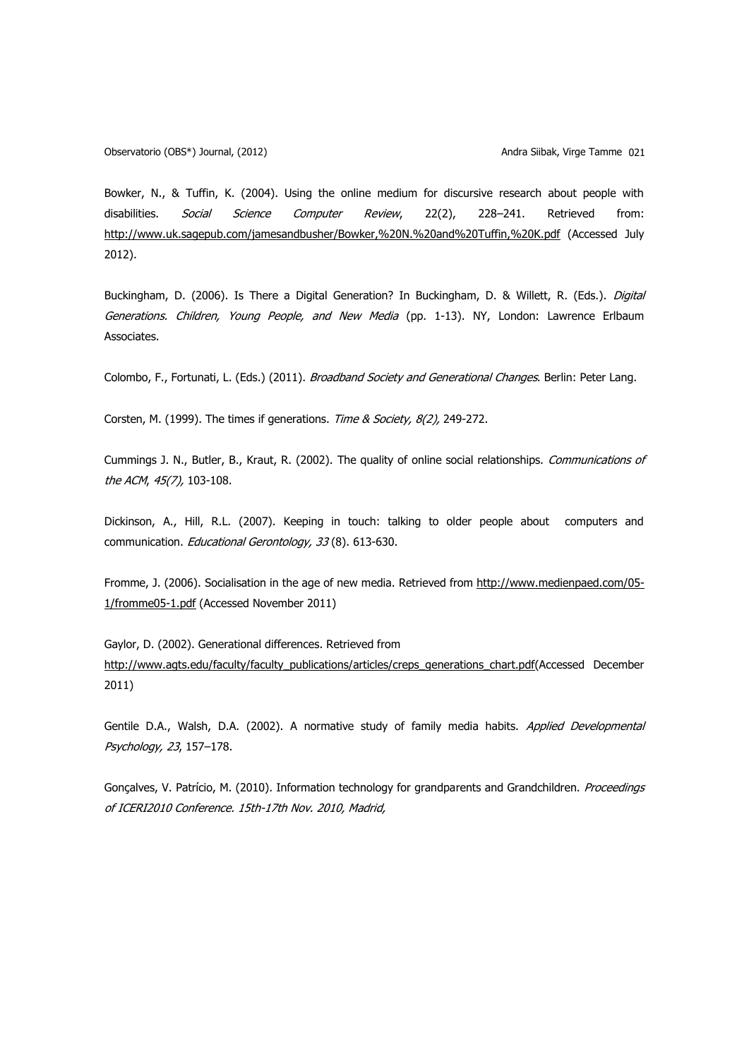Bowker, N., & Tuffin, K. (2004). Using the online medium for discursive research about people with disabilities. *Social Science Computer Review*, 22(2), 228–241. Retrieved from: <http://www.uk.sagepub.com/jamesandbusher/Bowker,%20N.%20and%20Tuffin,%20K.pdf> (Accessed July 2012).

Buckingham, D. (2006). Is There a Digital Generation? In Buckingham, D. & Willett, R. (Eds.). Digital Generations. Children, Young People, and New Media (pp. 1-13). NY, London: Lawrence Erlbaum Associates.

Colombo, F., Fortunati, L. (Eds.) (2011). Broadband Society and Generational Changes. Berlin: Peter Lang.

Corsten, M. (1999). The times if generations. Time & Society, 8(2), 249-272.

Cummings J. N., Butler, B., Kraut, R. (2002). The quality of online social relationships. Communications of the ACM, 45(7), 103-108.

Dickinson, A., Hill, R.L. (2007). Keeping in touch: talking to older people about computers and communication. Educational Gerontology, 33(8). 613-630.

Fromme, J. (2006). Socialisation in the age of new media. Retrieved from http://www.medienpaed.com/05- 1/fromme05-1.pdf (Accessed November 2011)

Gaylor, D. (2002). Generational differences. Retrieved from [http://www.agts.edu/faculty/faculty\\_publications/articles/creps\\_generations\\_chart.pdf\(](http://www.agts.edu/faculty/faculty_publications/articles/creps_generations_chart.pdf)Accessed December 2011)

Gentile D.A., Walsh, D.A. (2002). A normative study of family media habits. Applied Developmental Psychology, 23, 157–178.

Gonçalves, V. Patrício, M. (2010). Information technology for grandparents and Grandchildren. Proceedings of ICERI2010 Conference. 15th-17th Nov. 2010, Madrid,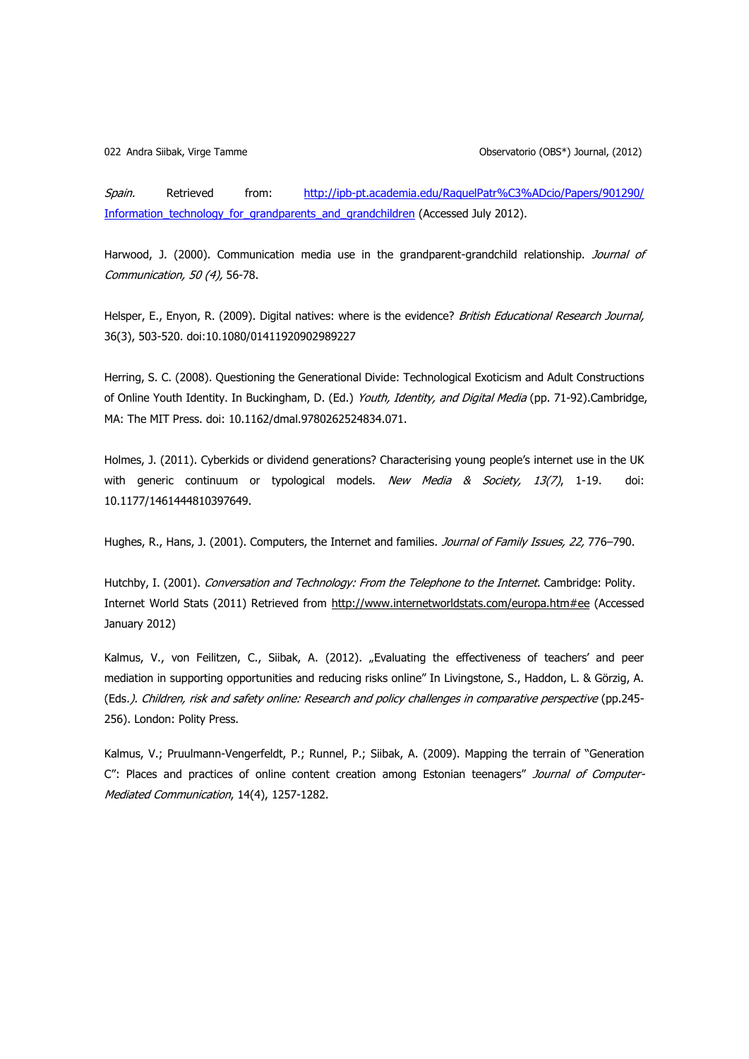Spain. Retrieved from: [http://ipb-pt.academia.edu/RaquelPatr%C3%ADcio/Papers/901290/](http://ipb-pt.academia.edu/RaquelPatr%C3%ADcio/Papers/901290/%20Information_technology_for_grandparents_and_grandchildren)  [Information\\_technology\\_for\\_grandparents\\_and\\_grandchildren](http://ipb-pt.academia.edu/RaquelPatr%C3%ADcio/Papers/901290/%20Information_technology_for_grandparents_and_grandchildren) (Accessed July 2012).

Harwood, J. (2000). Communication media use in the grandparent-grandchild relationship. Journal of Communication, 50 (4), 56-78.

Helsper, E., Enyon, R. (2009). Digital natives: where is the evidence? British Educational Research Journal, 36(3), 503-520. doi:10.1080/01411920902989227

Herring, S. C. (2008). Questioning the Generational Divide: Technological Exoticism and Adult Constructions of Online Youth Identity. In Buckingham, D. (Ed.) Youth, Identity, and Digital Media (pp. 71-92). Cambridge, MA: The MIT Press. doi: 10.1162/dmal.9780262524834.071.

Holmes, J. (2011). Cyberkids or dividend generations? Characterising young people's internet use in the UK with generic continuum or typological models. New Media & Society, 13(7), 1-19. doi: 10.1177/1461444810397649.

Hughes, R., Hans, J. (2001). Computers, the Internet and families. Journal of Family Issues, 22, 776-790.

Hutchby, I. (2001). Conversation and Technology: From the Telephone to the Internet. Cambridge: Polity. Internet World Stats (2011) Retrieved from <http://www.internetworldstats.com/europa.htm#ee> (Accessed January 2012)

Kalmus, V., von Feilitzen, C., Siibak, A. (2012). "Evaluating the effectiveness of teachers' and peer mediation in supporting opportunities and reducing risks online" In Livingstone, S., Haddon, L. & Görzig, A. (Eds.). Children, risk and safety online: Research and policy challenges in comparative perspective (pp.245- 256). London: Polity Press.

Kalmus, V.; Pruulmann-Vengerfeldt, P.; Runnel, P.; Siibak, A. (2009). Mapping the terrain of "Generation C": Places and practices of online content creation among Estonian teenagers" Journal of Computer-Mediated Communication, 14(4), 1257-1282.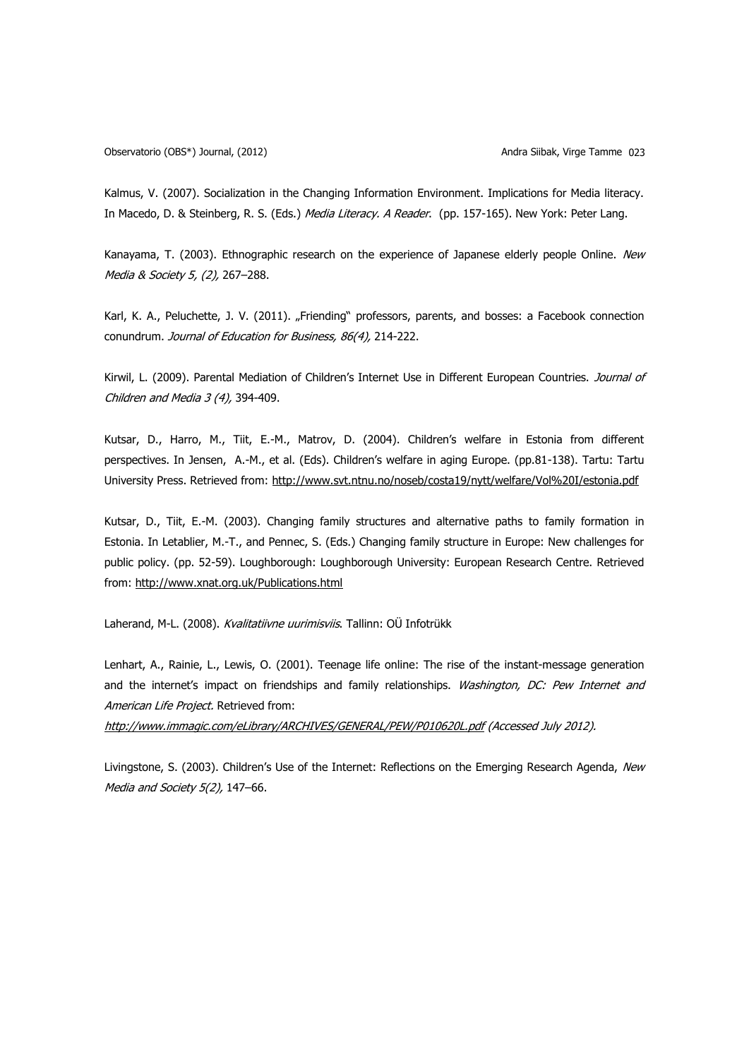Kalmus, V. (2007). Socialization in the Changing Information Environment. Implications for Media literacy. In Macedo, D. & Steinberg, R. S. (Eds.) Media Literacy. A Reader. (pp. 157-165). New York: Peter Lang.

Kanayama, T. (2003). Ethnographic research on the experience of Japanese elderly people Online. New Media & Society 5, (2), 267–288.

Karl, K. A., Peluchette, J. V. (2011). "Friending" professors, parents, and bosses: a Facebook connection conundrum. Journal of Education for Business, 86(4), 214-222.

Kirwil, L. (2009). Parental Mediation of Children's Internet Use in Different European Countries. Journal of Children and Media 3 (4), 394-409.

Kutsar, D., Harro, M., Tiit, E.-M., Matrov, D. (2004). Children's welfare in Estonia from different perspectives. In Jensen, A.-M., et al. (Eds). Children's welfare in aging Europe. (pp.81-138). Tartu: Tartu University Press. Retrieved from:<http://www.svt.ntnu.no/noseb/costa19/nytt/welfare/Vol%20I/estonia.pdf>

Kutsar, D., Tiit, E.-M. (2003). Changing family structures and alternative paths to family formation in Estonia. In Letablier, M.-T., and Pennec, S. (Eds.) Changing family structure in Europe: New challenges for public policy. (pp. 52-59). Loughborough: Loughborough University: European Research Centre. Retrieved from: <http://www.xnat.org.uk/Publications.html>

Laherand, M-L. (2008). Kvalitatiivne uurimisviis. Tallinn: OÜ Infotrükk

Lenhart, A., Rainie, L., Lewis, O. (2001). Teenage life online: The rise of the instant-message generation and the internet's impact on friendships and family relationships. Washington, DC: Pew Internet and American Life Project. Retrieved from:

<http://www.immagic.com/eLibrary/ARCHIVES/GENERAL/PEW/P010620L.pdf> (Accessed July 2012).

Livingstone, S. (2003). Children's Use of the Internet: Reflections on the Emerging Research Agenda, New Media and Society 5(2), 147-66.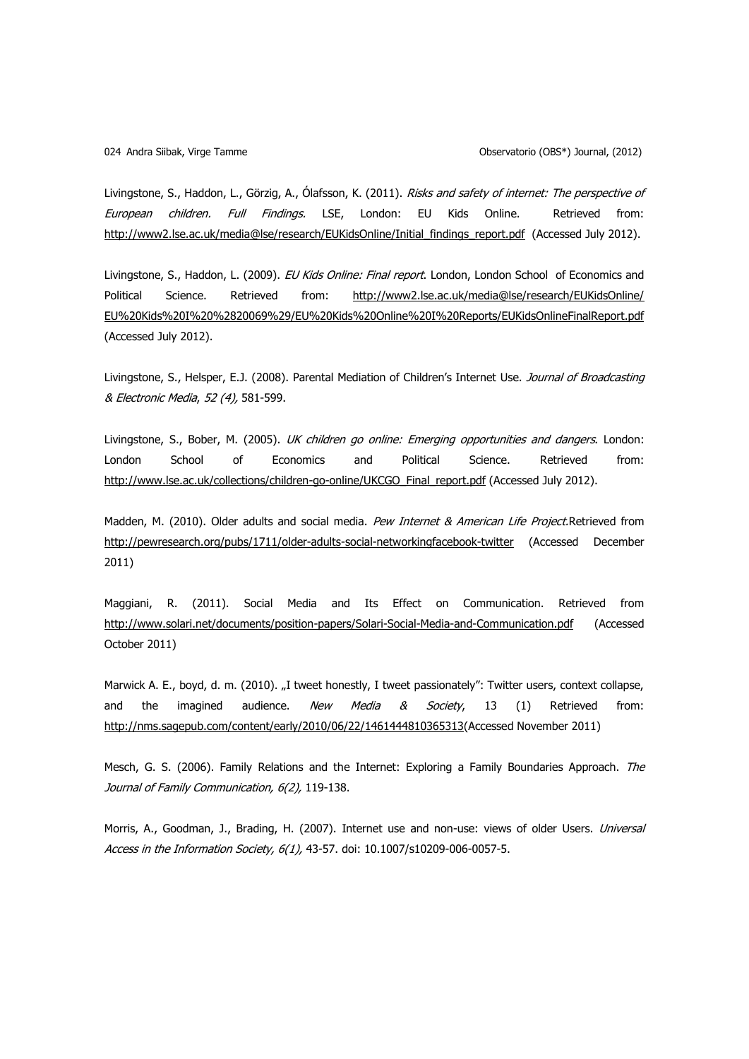Livingstone, S., Haddon, L., Görzig, A., Ólafsson, K. (2011). Risks and safety of internet: The perspective of European children. Full Findings. LSE, London: EU Kids Online. Retrieved from: [http://www2.lse.ac.uk/media@lse/research/EUKidsOnline/Initial\\_findings\\_report.pdf](http://www2.lse.ac.uk/media@lse/research/EUKidsOnline/Initial_findings_report.pdf) (Accessed July 2012).

Livingstone, S., Haddon, L. (2009). EU Kids Online: Final report. London, London School of Economics and Political Science. Retrieved from: http://www2.lse.ac.uk/media@lse/research/EUKidsOnline/ [EU%20Kids%20I%20%2820069%29/EU%20Kids%20Online%20I%20Reports/EUKidsOnlineFinalReport.pdf](http://www2.lse.ac.uk/media@lse/research/EUKidsOnline/%20EU%20Kids%20I%20%2820069%29/EU%20Kids%20Online%20I%20Reports/EUKidsOnlineFinalReport.pdf) (Accessed July 2012).

Livingstone, S., Helsper, E.J. (2008). Parental Mediation of Children's Internet Use. Journal of Broadcasting & Electronic Media, 52 (4), 581-599.

Livingstone, S., Bober, M. (2005). UK children go online: Emerging opportunities and dangers. London: London School of Economics and Political Science. Retrieved from: [http://www.lse.ac.uk/collections/children-go-online/UKCGO\\_Final\\_report.pdf](http://www.lse.ac.uk/collections/children-go-online/UKCGO_Final_report.pdf) (Accessed July 2012).

Madden, M. (2010). Older adults and social media. Pew Internet & American Life Project.Retrieved from <http://pewresearch.org/pubs/1711/older-adults-social-networkingfacebook-twitter> (Accessed December 2011)

Maggiani, R. (2011). Social Media and Its Effect on Communication. Retrieved from <http://www.solari.net/documents/position-papers/Solari-Social-Media-and-Communication.pdf> (Accessed October 2011)

Marwick A. E., boyd, d. m. (2010). "I tweet honestly, I tweet passionately": Twitter users, context collapse, and the imagined audience. *New Media & Society*, 13 (1) Retrieved from: [http://nms.sagepub.com/content/early/2010/06/22/1461444810365313\(](http://nms.sagepub.com/content/early/2010/06/22/1461444810365313)Accessed November 2011)

Mesch, G. S. (2006). Family Relations and the Internet: Exploring a Family Boundaries Approach. The Journal of Family Communication, 6(2), 119-138.

Morris, A., Goodman, J., Brading, H. (2007). Internet use and non-use: views of older Users. Universal Access in the Information Society, 6(1), 43-57. doi: 10.1007/s10209-006-0057-5.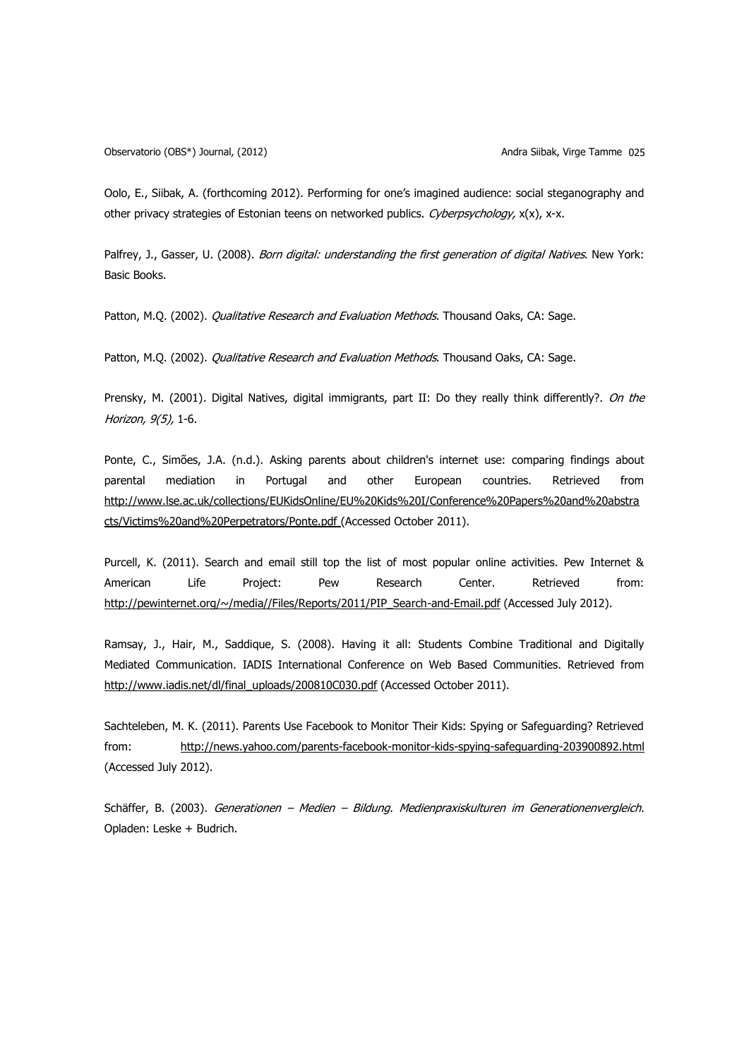Observatorio (OBS\*) Journal, (2012) Andra Siibak, Virge Tamme 025

Oolo, E., Siibak, A. (forthcoming 2012). Performing for one's imagined audience: social steganography and other privacy strategies of Estonian teens on networked publics. Cyberpsychology, x(x), x-x.

Palfrey, J., Gasser, U. (2008). Born digital: understanding the first generation of digital Natives. New York: Basic Books.

Patton, M.Q. (2002). Qualitative Research and Evaluation Methods. Thousand Oaks, CA: Sage.

Patton, M.O. (2002). *Qualitative Research and Evaluation Methods*. Thousand Oaks, CA: Sage.

Prensky, M. (2001). Digital Natives, digital immigrants, part II: Do they really think differently?. On the Horizon, 9(5), 1-6.

Ponte, C., Simões, J.A. (n.d.). Asking parents about children's internet use: comparing findings about parental mediation in Portugal and other European countries. Retrieved from [http://www.lse.ac.uk/collections/EUKidsOnline/EU%20Kids%20I/Conference%20Papers%20and%20abstra](http://www.lse.ac.uk/collections/EUKidsOnline/EU%20Kids%20I/Conference%20Papers%20and%20abstracts/Victims%20and%20Perpetrators/Ponte.pdf) [cts/Victims%20and%20Perpetrators/Ponte.pdf](http://www.lse.ac.uk/collections/EUKidsOnline/EU%20Kids%20I/Conference%20Papers%20and%20abstracts/Victims%20and%20Perpetrators/Ponte.pdf) (Accessed October 2011).

Purcell, K. (2011). Search and email still top the list of most popular online activities. Pew Internet & American Life Project: Pew Research Center. Retrieved from: [http://pewinternet.org/~/media//Files/Reports/2011/PIP\\_Search-and-Email.pdf](http://pewinternet.org/~/media/Files/Reports/2011/PIP_Search-and-Email.pdf) (Accessed July 2012).

Ramsay, J., Hair, M., Saddique, S. (2008). Having it all: Students Combine Traditional and Digitally Mediated Communication. IADIS International Conference on Web Based Communities. Retrieved from [http://www.iadis.net/dl/final\\_uploads/200810C030.pdf](http://www.iadis.net/dl/final_uploads/200810C030.pdf) (Accessed October 2011).

Sachteleben, M. K. (2011). Parents Use Facebook to Monitor Their Kids: Spying or Safeguarding? Retrieved from: <http://news.yahoo.com/parents-facebook-monitor-kids-spying-safeguarding-203900892.html> (Accessed July 2012).

Schäffer, B. (2003). Generationen – Medien – Bildung. Medienpraxiskulturen im Generationenvergleich. Opladen: Leske + Budrich.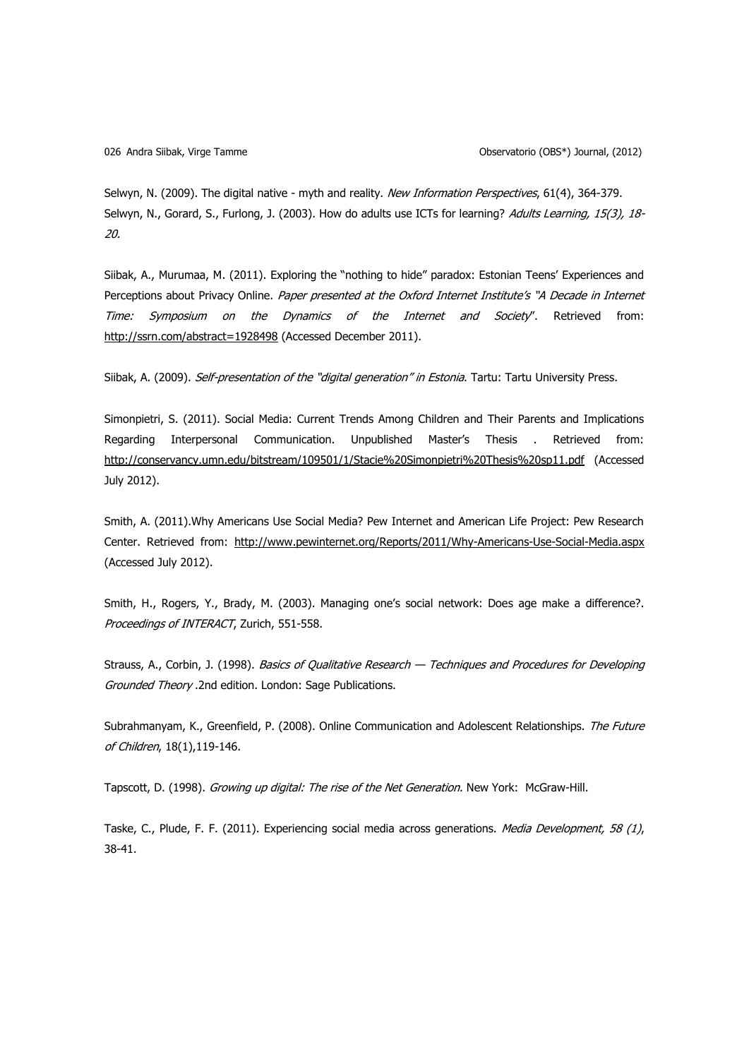Selwyn, N. (2009). The digital native - myth and reality. New Information Perspectives, 61(4), 364-379. Selwyn, N., Gorard, S., Furlong, J. (2003). How do adults use ICTs for learning? Adults Learning, 15(3), 18-20.

Siibak, A., Murumaa, M. (2011). Exploring the "nothing to hide" paradox: Estonian Teens' Experiences and Perceptions about Privacy Online. Paper presented at the Oxford Internet Institute's "A Decade in Internet Time: Symposium on the Dynamics of the Internet and Society". Retrieved from: <http://ssrn.com/abstract=1928498> (Accessed December 2011).

Siibak, A. (2009). Self-presentation of the "digital generation" in Estonia. Tartu: Tartu University Press.

Simonpietri, S. (2011). Social Media: Current Trends Among Children and Their Parents and Implications Regarding Interpersonal Communication. Unpublished Master's Thesis . Retrieved from: <http://conservancy.umn.edu/bitstream/109501/1/Stacie%20Simonpietri%20Thesis%20sp11.pdf>(Accessed July 2012).

Smith, A. (2011).Why Americans Use Social Media? Pew Internet and American Life Project: Pew Research Center. Retrieved from: <http://www.pewinternet.org/Reports/2011/Why-Americans-Use-Social-Media.aspx> (Accessed July 2012).

Smith, H., Rogers, Y., Brady, M. (2003). Managing one's social network: Does age make a difference?. Proceedings of INTERACT, Zurich, 551-558.

Strauss, A., Corbin, J. (1998). Basics of Qualitative Research - Techniques and Procedures for Developing Grounded Theory .2nd edition. London: Sage Publications.

Subrahmanyam, K., Greenfield, P. (2008). Online Communication and Adolescent Relationships. The Future of Children, 18(1),119-146.

Tapscott, D. (1998). Growing up digital: The rise of the Net Generation. New York: McGraw-Hill.

Taske, C., Plude, F. F. (2011). Experiencing social media across generations. Media Development, 58 (1), 38-41.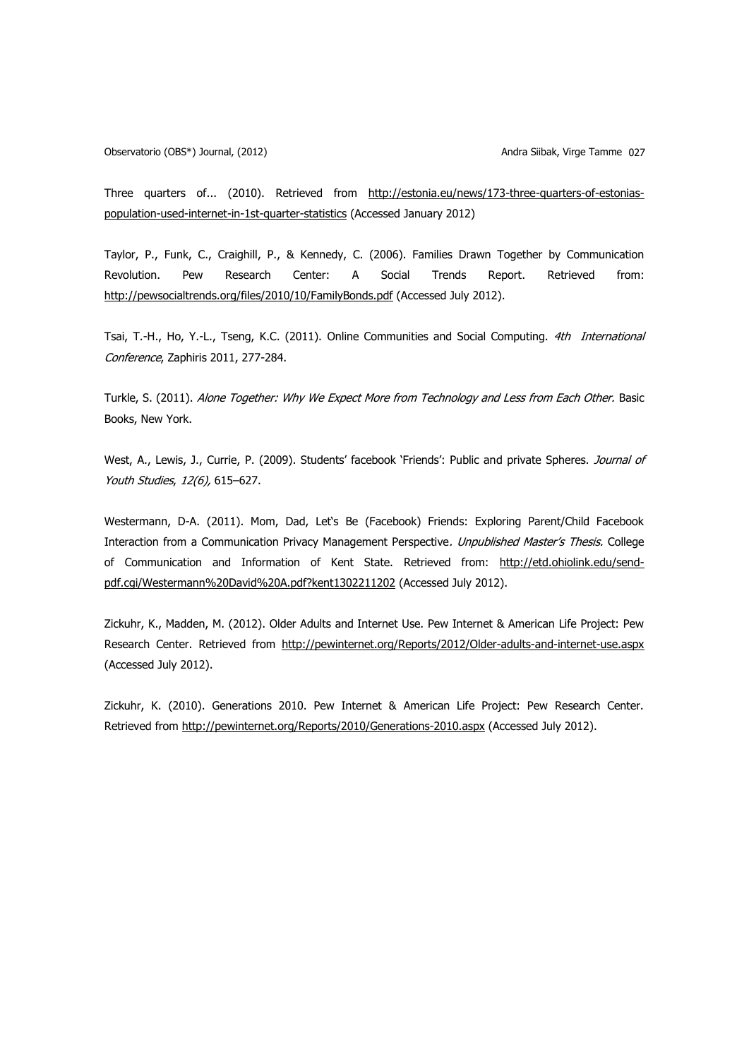Observatorio (OBS\*) Journal, (2012) Andra Siibak, Virge Tamme 027

Three quarters of... (2010). Retrieved from [http://estonia.eu/news/173-three-quarters-of-estonias](http://estonia.eu/news/173-three-quarters-of-estonias-population-used-internet-in-1st-quarter-statistics)[population-used-internet-in-1st-quarter-statistics](http://estonia.eu/news/173-three-quarters-of-estonias-population-used-internet-in-1st-quarter-statistics) (Accessed January 2012)

Taylor, P., Funk, C., Craighill, P., & Kennedy, C. (2006). Families Drawn Together by Communication Revolution. Pew Research Center: A Social Trends Report. Retrieved from: <http://pewsocialtrends.org/files/2010/10/FamilyBonds.pdf> (Accessed July 2012).

Tsai, T.-H., Ho, Y.-L., Tseng, K.C. (2011). Online Communities and Social Computing. 4th International Conference, Zaphiris 2011, 277-284.

Turkle, S. (2011). Alone Together: Why We Expect More from Technology and Less from Each Other. Basic Books, New York.

West, A., Lewis, J., Currie, P. (2009). Students' facebook 'Friends': Public and private Spheres. Journal of Youth Studies, 12(6), 615-627.

Westermann, D-A. (2011). Mom, Dad, Let's Be (Facebook) Friends: Exploring Parent/Child Facebook Interaction from a Communication Privacy Management Perspective. Unpublished Master's Thesis. College of Communication and Information of Kent State. Retrieved from: [http://etd.ohiolink.edu/send](http://etd.ohiolink.edu/send-pdf.cgi/Westermann%20David%20A.pdf?kent1302211202)[pdf.cgi/Westermann%20David%20A.pdf?kent1302211202](http://etd.ohiolink.edu/send-pdf.cgi/Westermann%20David%20A.pdf?kent1302211202) (Accessed July 2012).

Zickuhr, K., Madden, M. (2012). Older Adults and Internet Use. Pew Internet & American Life Project: Pew Research Center. Retrieved from <http://pewinternet.org/Reports/2012/Older-adults-and-internet-use.aspx> (Accessed July 2012).

Zickuhr, K. (2010). Generations 2010. Pew Internet & American Life Project: Pew Research Center. Retrieved from<http://pewinternet.org/Reports/2010/Generations-2010.aspx> (Accessed July 2012).